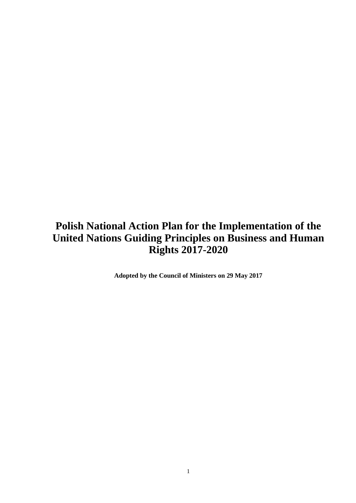# **Polish National Action Plan for the Implementation of the United Nations Guiding Principles on Business and Human Rights 2017-2020**

**Adopted by the Council of Ministers on 29 May 2017**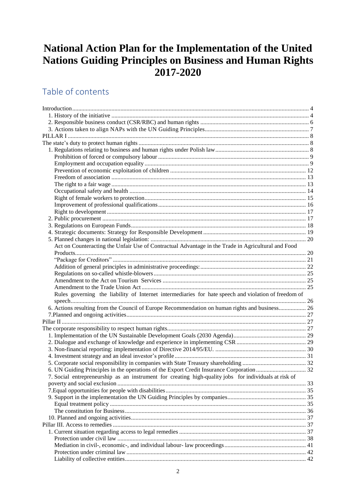# **National Action Plan for the Implementation of the United Nations Guiding Principles on Business and Human Rights 2017-2020**

# Table of contents

| Act on Counteracting the Unfair Use of Contractual Advantage in the Trade in Agricultural and Food    |  |
|-------------------------------------------------------------------------------------------------------|--|
|                                                                                                       |  |
|                                                                                                       |  |
|                                                                                                       |  |
|                                                                                                       |  |
|                                                                                                       |  |
|                                                                                                       |  |
| Rules governing the liability of Internet intermediaries for hate speech and violation of freedom of  |  |
|                                                                                                       |  |
| 6. Actions resulting from the Council of Europe Recommendation on human rights and business 26        |  |
|                                                                                                       |  |
|                                                                                                       |  |
|                                                                                                       |  |
|                                                                                                       |  |
|                                                                                                       |  |
|                                                                                                       |  |
|                                                                                                       |  |
|                                                                                                       |  |
|                                                                                                       |  |
| 7. Social entrepreneurship as an instrument for creating high-quality jobs for individuals at risk of |  |
|                                                                                                       |  |
|                                                                                                       |  |
|                                                                                                       |  |
|                                                                                                       |  |
|                                                                                                       |  |
|                                                                                                       |  |
|                                                                                                       |  |
|                                                                                                       |  |
|                                                                                                       |  |
|                                                                                                       |  |
|                                                                                                       |  |
|                                                                                                       |  |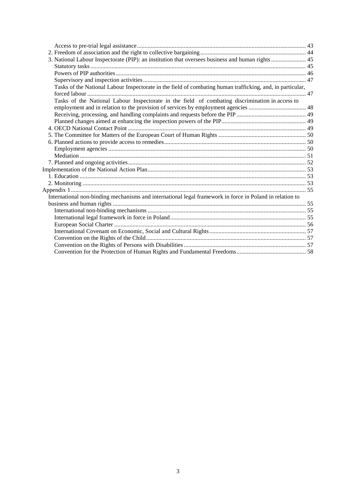| 3. National Labour Inspectorate (PIP): an institution that oversees business and human rights  45               |  |
|-----------------------------------------------------------------------------------------------------------------|--|
|                                                                                                                 |  |
|                                                                                                                 |  |
|                                                                                                                 |  |
| Tasks of the National Labour Inspectorate in the field of combating human trafficking, and, in particular,      |  |
|                                                                                                                 |  |
| Tasks of the National Labour Inspectorate in the field of combating discrimination in access to                 |  |
|                                                                                                                 |  |
|                                                                                                                 |  |
|                                                                                                                 |  |
|                                                                                                                 |  |
|                                                                                                                 |  |
|                                                                                                                 |  |
|                                                                                                                 |  |
|                                                                                                                 |  |
|                                                                                                                 |  |
|                                                                                                                 |  |
|                                                                                                                 |  |
|                                                                                                                 |  |
|                                                                                                                 |  |
| International non-binding mechanisms and international legal framework in force in Poland in relation to        |  |
|                                                                                                                 |  |
|                                                                                                                 |  |
|                                                                                                                 |  |
|                                                                                                                 |  |
|                                                                                                                 |  |
|                                                                                                                 |  |
|                                                                                                                 |  |
| Convention for the Protection of Human Rights and Fundamental Freedom Superman Convention Convention Convention |  |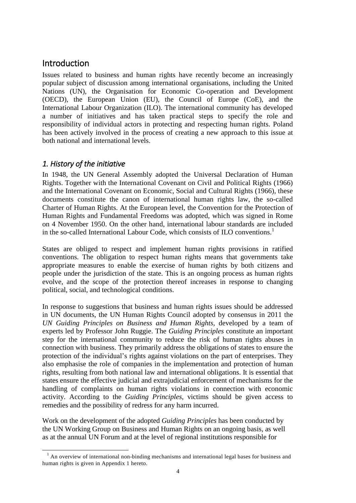## <span id="page-3-0"></span>Introduction

Issues related to business and human rights have recently become an increasingly popular subject of discussion among international organisations, including the United Nations (UN), the Organisation for Economic Co-operation and Development (OECD), the European Union (EU), the Council of Europe (CoE), and the International Labour Organization (ILO). The international community has developed a number of initiatives and has taken practical steps to specify the role and responsibility of individual actors in protecting and respecting human rights. Poland has been actively involved in the process of creating a new approach to this issue at both national and international levels.

### <span id="page-3-1"></span>*1. History of the initiative*

-

In 1948, the UN General Assembly adopted the Universal Declaration of Human Rights. Together with the International Covenant on Civil and Political Rights (1966) and the International Covenant on Economic, Social and Cultural Rights (1966), these documents constitute the canon of international human rights law, the so-called Charter of Human Rights. At the European level, the Convention for the Protection of Human Rights and Fundamental Freedoms was adopted, which was signed in Rome on 4 November 1950. On the other hand, international labour standards are included in the so-called International Labour Code, which consists of ILO conventions.<sup>1</sup>

States are obliged to respect and implement human rights provisions in ratified conventions. The obligation to respect human rights means that governments take appropriate measures to enable the exercise of human rights by both citizens and people under the jurisdiction of the state. This is an ongoing process as human rights evolve, and the scope of the protection thereof increases in response to changing political, social, and technological conditions.

In response to suggestions that business and human rights issues should be addressed in UN documents, the UN Human Rights Council adopted by consensus in 2011 the *UN Guiding Principles on Business and Human Rights*, developed by a team of experts led by Professor John Ruggie. The *Guiding Principles* constitute an important step for the international community to reduce the risk of human rights abuses in connection with business. They primarily address the obligations of states to ensure the protection of the individual's rights against violations on the part of enterprises. They also emphasise the role of companies in the implementation and protection of human rights, resulting from both national law and international obligations. It is essential that states ensure the effective judicial and extrajudicial enforcement of mechanisms for the handling of complaints on human rights violations in connection with economic activity. According to the *Guiding Principles*, victims should be given access to remedies and the possibility of redress for any harm incurred.

Work on the development of the adopted *Guiding Principles* has been conducted by the UN Working Group on Business and Human Rights on an ongoing basis, as well as at the annual UN Forum and at the level of regional institutions responsible for

<sup>&</sup>lt;sup>1</sup> An overview of international non-binding mechanisms and international legal bases for business and human rights is given in Appendix 1 hereto.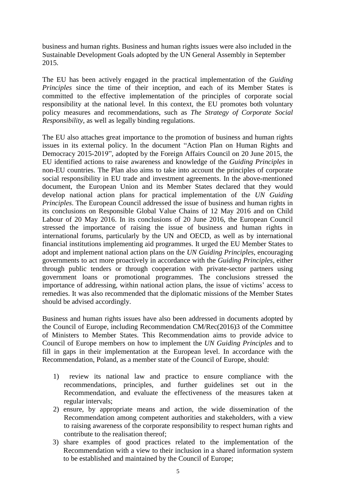business and human rights. Business and human rights issues were also included in the Sustainable Development Goals adopted by the UN General Assembly in September 2015.

The EU has been actively engaged in the practical implementation of the *Guiding Principles* since the time of their inception, and each of its Member States is committed to the effective implementation of the principles of corporate social responsibility at the national level. In this context, the EU promotes both voluntary policy measures and recommendations, such as *The Strategy of Corporate Social Responsibility*, as well as legally binding regulations.

The EU also attaches great importance to the promotion of business and human rights issues in its external policy. In the document "Action Plan on Human Rights and Democracy 2015-2019", adopted by the Foreign Affairs Council on 20 June 2015, the EU identified actions to raise awareness and knowledge of the *Guiding Principles* in non-EU countries. The Plan also aims to take into account the principles of corporate social responsibility in EU trade and investment agreements. In the above-mentioned document, the European Union and its Member States declared that they would develop national action plans for practical implementation of the *UN Guiding Principles*. The European Council addressed the issue of business and human rights in its conclusions on Responsible Global Value Chains of 12 May 2016 and on Child Labour of 20 May 2016. In its conclusions of 20 June 2016, the European Council stressed the importance of raising the issue of business and human rights in international forums, particularly by the UN and OECD, as well as by international financial institutions implementing aid programmes. It urged the EU Member States to adopt and implement national action plans on the *UN Guiding Principles*, encouraging governments to act more proactively in accordance with the *Guiding Principles,* either through public tenders or through cooperation with private-sector partners using government loans or promotional programmes. The conclusions stressed the importance of addressing, within national action plans, the issue of victims' access to remedies. It was also recommended that the diplomatic missions of the Member States should be advised accordingly.

Business and human rights issues have also been addressed in documents adopted by the Council of Europe, including Recommendation [CM/Rec\(2016\)3](http://rm.coe.int/CoERMPublicCommonSearchServices/DisplayDCTMContent?documentId=09000016805c1ad4) of the Committee of Ministers to Member States. This Recommendation aims to provide advice to Council of Europe members on how to implement the *UN Guiding Principles* and to fill in gaps in their implementation at the European level. In accordance with the Recommendation, Poland, as a member state of the Council of Europe, should:

- 1) review its national law and practice to ensure compliance with the recommendations, principles, and further guidelines set out in the Recommendation, and evaluate the effectiveness of the measures taken at regular intervals;
- 2) ensure, by appropriate means and action, the wide dissemination of the Recommendation among competent authorities and stakeholders, with a view to raising awareness of the corporate responsibility to respect human rights and contribute to the realisation thereof;
- 3) share examples of good practices related to the implementation of the Recommendation with a view to their inclusion in a shared information system to be established and maintained by the Council of Europe;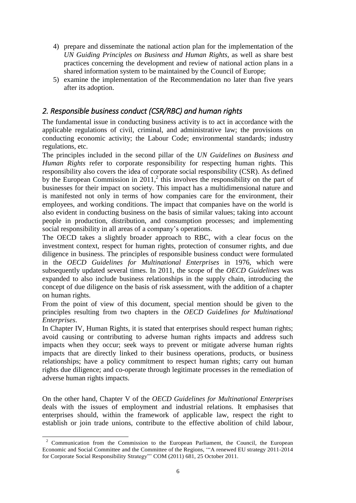- 4) prepare and disseminate the national action plan for the implementation of the *UN Guiding Principles on Business and Human Rights*, as well as share best practices concerning the development and review of national action plans in a shared information system to be maintained by the Council of Europe;
- 5) examine the implementation of the Recommendation no later than five years after its adoption.

## <span id="page-5-0"></span>*2. Responsible business conduct (CSR/RBC) and human rights*

The fundamental issue in conducting business activity is to act in accordance with the applicable regulations of civil, criminal, and administrative law; the provisions on conducting economic activity; the Labour Code; environmental standards; industry regulations, etc.

The principles included in the second pillar of the *UN Guidelines on Business and Human Rights* refer to corporate responsibility for respecting human rights. This responsibility also covers the idea of corporate social responsibility (CSR). As defined by the European Commission in  $2011$ <sup>2</sup>, this involves the responsibility on the part of businesses for their impact on society. This impact has a multidimensional nature and is manifested not only in terms of how companies care for the environment, their employees, and working conditions. The impact that companies have on the world is also evident in conducting business on the basis of similar values; taking into account people in production, distribution, and consumption processes; and implementing social responsibility in all areas of a company's operations.

The OECD takes a slightly broader approach to RBC, with a clear focus on the investment context, respect for human rights, protection of consumer rights, and due diligence in business. The principles of responsible business conduct were formulated in the *OECD Guidelines for Multinational Enterprises* in 1976, which were subsequently updated several times. In 2011, the scope of the *OECD Guidelines* was expanded to also include business relationships in the supply chain, introducing the concept of due diligence on the basis of risk assessment, with the addition of a chapter on human rights.

From the point of view of this document, special mention should be given to the principles resulting from two chapters in the *OECD Guidelines for Multinational Enterprises*.

In Chapter IV, Human Rights, it is stated that enterprises should respect human rights; avoid causing or contributing to adverse human rights impacts and address such impacts when they occur; seek ways to prevent or mitigate adverse human rights impacts that are directly linked to their business operations, products, or business relationships; have a policy commitment to respect human rights; carry out human rights due diligence; and co-operate through legitimate processes in the remediation of adverse human rights impacts.

On the other hand, Chapter V of the *OECD Guidelines for Multinational Enterprises* deals with the issues of employment and industrial relations. It emphasises that enterprises should, within the framework of applicable law, respect the right to establish or join trade unions, contribute to the effective abolition of child labour,

<sup>-</sup><sup>2</sup> Communication from the Commission to the European Parliament, the Council, the European Economic and Social Committee and the Committee of the Regions, '"A renewed EU strategy 2011-2014 for Corporate Social Responsibility Strategy"' COM (2011) 681, 25 October 2011.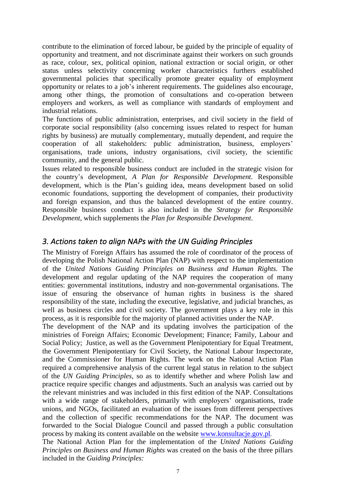contribute to the elimination of forced labour, be guided by the principle of equality of opportunity and treatment, and not discriminate against their workers on such grounds as race, colour, sex, political opinion, national extraction or social origin, or other status unless selectivity concerning worker characteristics furthers established governmental policies that specifically promote greater equality of employment opportunity or relates to a job's inherent requirements. The guidelines also encourage, among other things, the promotion of consultations and co-operation between employers and workers, as well as compliance with standards of employment and industrial relations.

The functions of public administration, enterprises, and civil society in the field of corporate social responsibility (also concerning issues related to respect for human rights by business) are mutually complementary, mutually dependent, and require the cooperation of all stakeholders: public administration, business, employers' organisations, trade unions, industry organisations, civil society, the scientific community, and the general public.

Issues related to responsible business conduct are included in the strategic vision for the country's development, *A Plan for Responsible Development*. Responsible development, which is the Plan's guiding idea, means development based on solid economic foundations, supporting the development of companies, their productivity and foreign expansion, and thus the balanced development of the entire country. Responsible business conduct is also included in the *Strategy for Responsible Development*, which supplements the *Plan for Responsible Development*.

## <span id="page-6-0"></span>*3. Actions taken to align NAPs with the UN Guiding Principles*

The Ministry of Foreign Affairs has assumed the role of coordinator of the process of developing the Polish National Action Plan (NAP) with respect to the implementation of the *United Nations Guiding Principles on Business and Human Rights.* The development and regular updating of the NAP requires the cooperation of many entities: governmental institutions, industry and non-governmental organisations. The issue of ensuring the observance of human rights in business is the shared responsibility of the state, including the executive, legislative, and judicial branches, as well as business circles and civil society. The government plays a key role in this process, as it is responsible for the majority of planned activities under the NAP.

The development of the NAP and its updating involves the participation of the ministries of Foreign Affairs; Economic Development; Finance; Family, Labour and Social Policy; Justice, as well as the Government Plenipotentiary for Equal Treatment, the Government Plenipotentiary for Civil Society, the National Labour Inspectorate, and the Commissioner for Human Rights. The work on the National Action Plan required a comprehensive analysis of the current legal status in relation to the subject of the *UN Guiding Principles,* so as to identify whether and where Polish law and practice require specific changes and adjustments. Such an analysis was carried out by the relevant ministries and was included in this first edition of the NAP. Consultations with a wide range of stakeholders, primarily with employers' organisations, trade unions, and NGOs, facilitated an evaluation of the issues from different perspectives and the collection of specific recommendations for the NAP. The document was forwarded to the Social Dialogue Council and passed through a public consultation process by making its content available on the website [www.konsultacje.gov.pl](http://www.konsultacje.gov.pl/).

The National Action Plan for the implementation of the *United Nations Guiding Principles on Business and Human Rights* was created on the basis of the three pillars included in the *Guiding Principles:*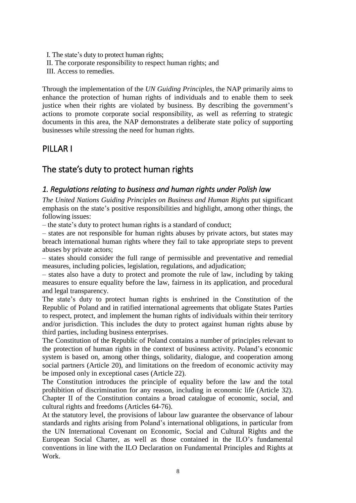I. The state's duty to protect human rights; II. The corporate responsibility to respect human rights; and III. Access to remedies.

Through the implementation of the *UN Guiding Principles*, the NAP primarily aims to enhance the protection of human rights of individuals and to enable them to seek justice when their rights are violated by business. By describing the government's actions to promote corporate social responsibility, as well as referring to strategic documents in this area, the NAP demonstrates a deliberate state policy of supporting businesses while stressing the need for human rights.

## <span id="page-7-0"></span>PILLAR I

## <span id="page-7-1"></span>The state's duty to protect human rights

## <span id="page-7-2"></span>*1. Regulations relating to business and human rights under Polish law*

*The United Nations Guiding Principles on Business and Human Rights* put significant emphasis on the state's positive responsibilities and highlight, among other things, the following issues:

– the state's duty to protect human rights is a standard of conduct;

– states are not responsible for human rights abuses by private actors, but states may breach international human rights where they fail to take appropriate steps to prevent abuses by private actors;

– states should consider the full range of permissible and preventative and remedial measures, including policies, legislation, regulations, and adjudication;

– states also have a duty to protect and promote the rule of law, including by taking measures to ensure equality before the law, fairness in its application, and procedural and legal transparency.

The state's duty to protect human rights is enshrined in the Constitution of the Republic of Poland and in ratified international agreements that obligate States Parties to respect, protect, and implement the human rights of individuals within their territory and/or jurisdiction. This includes the duty to protect against human rights abuse by third parties, including business enterprises.

The Constitution of the Republic of Poland contains a number of principles relevant to the protection of human rights in the context of business activity. Poland's economic system is based on, among other things, solidarity, dialogue, and cooperation among social partners (Article 20), and limitations on the freedom of economic activity may be imposed only in exceptional cases (Article 22).

The Constitution introduces the principle of equality before the law and the total prohibition of discrimination for any reason, including in economic life (Article 32). Chapter II of the Constitution contains a broad catalogue of economic, social, and cultural rights and freedoms (Articles 64-76).

At the statutory level, the provisions of labour law guarantee the observance of labour standards and rights arising from Poland's international obligations, in particular from the UN International Covenant on Economic, Social and Cultural Rights and the European Social Charter, as well as those contained in the ILO's fundamental conventions in line with the ILO Declaration on Fundamental Principles and Rights at Work.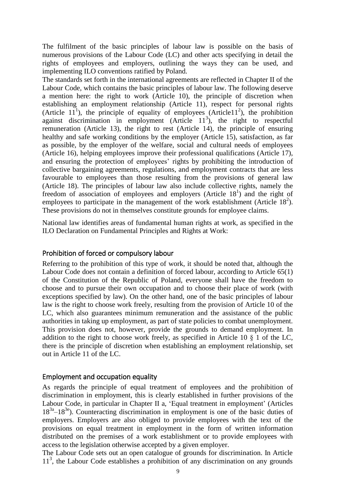The fulfilment of the basic principles of labour law is possible on the basis of numerous provisions of the Labour Code (LC) and other acts specifying in detail the rights of employees and employers, outlining the ways they can be used, and implementing ILO conventions ratified by Poland.

The standards set forth in the international agreements are reflected in Chapter II of the Labour Code, which contains the basic principles of labour law. The following deserve a mention here: the right to work (Article 10), the principle of discretion when establishing an employment relationship (Article 11), respect for personal rights (Article  $11<sup>1</sup>$ ), the principle of equality of employees (Article11<sup>2</sup>), the prohibition against discrimination in employment (Article  $11<sup>3</sup>$ ), the right to respectful remuneration (Article 13), the right to rest (Article 14), the principle of ensuring healthy and safe working conditions by the employer (Article 15), satisfaction, as far as possible, by the employer of the welfare, social and cultural needs of employees (Article 16), helping employees improve their professional qualifications (Article 17), and ensuring the protection of employees' rights by prohibiting the introduction of collective bargaining agreements, regulations, and employment contracts that are less favourable to employees than those resulting from the provisions of general law (Article 18). The principles of labour law also include collective rights, namely the freedom of association of employees and employers (Article  $18<sup>1</sup>$ ) and the right of employees to participate in the management of the work establishment (Article  $18<sup>2</sup>$ ). These provisions do not in themselves constitute grounds for employee claims.

National law identifies areas of fundamental human rights at work, as specified in the ILO Declaration on Fundamental Principles and Rights at Work:

#### <span id="page-8-0"></span>Prohibition of forced or compulsory labour

Referring to the prohibition of this type of work, it should be noted that, although the Labour Code does not contain a definition of forced labour, according to Article 65(1) of the Constitution of the Republic of Poland, everyone shall have the freedom to choose and to pursue their own occupation and to choose their place of work (with exceptions specified by law). On the other hand, one of the basic principles of labour law is the right to choose work freely, resulting from the provision of Article 10 of the LC, which also guarantees minimum remuneration and the assistance of the public authorities in taking up employment, as part of state policies to combat unemployment. This provision does not, however, provide the grounds to demand employment. In addition to the right to choose work freely, as specified in Article 10  $\S$  1 of the LC, there is the principle of discretion when establishing an employment relationship, set out in Article 11 of the LC.

#### <span id="page-8-1"></span>Employment and occupation equality

As regards the principle of equal treatment of employees and the prohibition of discrimination in employment, this is clearly established in further provisions of the Labour Code, in particular in Chapter II a, 'Equal treatment in employment' (Articles 18<sup>3a</sup>–18<sup>3e</sup>). Counteracting discrimination in employment is one of the basic duties of employers. Employers are also obliged to provide employees with the text of the provisions on equal treatment in employment in the form of written information distributed on the premises of a work establishment or to provide employees with access to the legislation otherwise accepted by a given employer.

The Labour Code sets out an open catalogue of grounds for discrimination. In Article 11<sup>3</sup>, the Labour Code establishes a prohibition of any discrimination on any grounds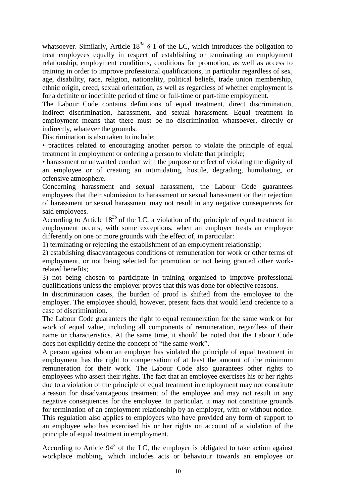whatsoever. Similarly, Article  $18^{3a}$  § 1 of the LC, which introduces the obligation to treat employees equally in respect of establishing or terminating an employment relationship, employment conditions, conditions for promotion, as well as access to training in order to improve professional qualifications, in particular regardless of sex, age, disability, race, religion, nationality, political beliefs, trade union membership, ethnic origin, creed, sexual orientation, as well as regardless of whether employment is for a definite or indefinite period of time or full-time or part-time employment.

The Labour Code contains definitions of equal treatment, direct discrimination, indirect discrimination, harassment, and sexual harassment. Equal treatment in employment means that there must be no discrimination whatsoever, directly or indirectly, whatever the grounds.

Discrimination is also taken to include:

• practices related to encouraging another person to violate the principle of equal treatment in employment or ordering a person to violate that principle;

• harassment or unwanted conduct with the purpose or effect of violating the dignity of an employee or of creating an intimidating, hostile, degrading, humiliating, or offensive atmosphere.

Concerning harassment and sexual harassment, the Labour Code guarantees employees that their submission to harassment or sexual harassment or their rejection of harassment or sexual harassment may not result in any negative consequences for said employees.

According to Article  $18^{3b}$  of the LC, a violation of the principle of equal treatment in employment occurs, with some exceptions, when an employer treats an employee differently on one or more grounds with the effect of, in particular:

1) terminating or rejecting the establishment of an employment relationship;

2) establishing disadvantageous conditions of remuneration for work or other terms of employment, or not being selected for promotion or not being granted other workrelated benefits;

3) not being chosen to participate in training organised to improve professional qualifications unless the employer proves that this was done for objective reasons.

In discrimination cases, the burden of proof is shifted from the employee to the employer. The employee should, however, present facts that would lend credence to a case of discrimination.

The Labour Code guarantees the right to equal remuneration for the same work or for work of equal value, including all components of remuneration, regardless of their name or characteristics. At the same time, it should be noted that the Labour Code does not explicitly define the concept of "the same work".

A person against whom an employer has violated the principle of equal treatment in employment has the right to compensation of at least the amount of the minimum remuneration for their work. The Labour Code also guarantees other rights to employees who assert their rights. The fact that an employee exercises his or her rights due to a violation of the principle of equal treatment in employment may not constitute a reason for disadvantageous treatment of the employee and may not result in any negative consequences for the employee. In particular, it may not constitute grounds for termination of an employment relationship by an employer, with or without notice. This regulation also applies to employees who have provided any form of support to an employee who has exercised his or her rights on account of a violation of the principle of equal treatment in employment.

According to Article  $94<sup>3</sup>$  of the LC, the employer is obligated to take action against workplace mobbing, which includes acts or behaviour towards an employee or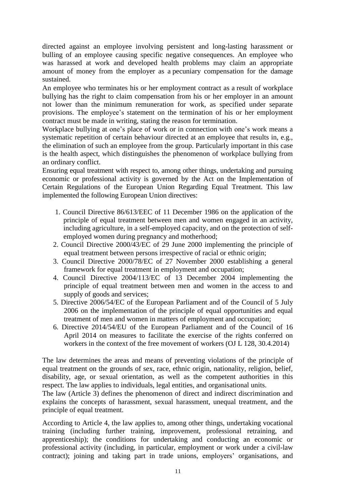directed against an employee involving persistent and long-lasting harassment or bulling of an employee causing specific negative consequences. An employee who was harassed at work and developed health problems may claim an appropriate amount of money from the employer as a pecuniary compensation for the damage sustained.

An employee who terminates his or her employment contract as a result of workplace bullying has the right to claim compensation from his or her employer in an amount not lower than the minimum remuneration for work, as specified under separate provisions. The employee's statement on the termination of his or her employment contract must be made in writing, stating the reason for termination.

Workplace bullying at one's place of work or in connection with one's work means a systematic repetition of certain behaviour directed at an employee that results in, e.g., the elimination of such an employee from the group. Particularly important in this case is the health aspect, which distinguishes the phenomenon of workplace bullying from an ordinary conflict.

Ensuring equal treatment with respect to, among other things, undertaking and pursuing economic or professional activity is governed by the Act on the Implementation of Certain Regulations of the European Union Regarding Equal Treatment. This law implemented the following European Union directives:

- 1. Council Directive 86/613/EEC of 11 December 1986 on the application of the principle of equal treatment between men and women engaged in an activity, including agriculture, in a self-employed capacity, and on the protection of selfemployed women during pregnancy and motherhood;
- 2. Council Directive 2000/43/EC of 29 June 2000 implementing the principle of equal treatment between persons irrespective of racial or ethnic origin;
- 3. Council Directive 2000/78/EC of 27 November 2000 establishing a general framework for equal treatment in employment and occupation;
- 4. Council Directive 2004/113/EC of 13 December 2004 implementing the principle of equal treatment between men and women in the access to and supply of goods and services;
- 5. Directive 2006/54/EC of the European Parliament and of the Council of 5 July 2006 on the implementation of the principle of equal opportunities and equal treatment of men and women in matters of employment and occupation;
- 6. Directive 2014/54/EU of the European Parliament and of the Council of 16 April 2014 on measures to facilitate the exercise of the rights conferred on workers in the context of the free movement of workers (OJ L 128, 30,4,2014)

The law determines the areas and means of preventing violations of the principle of equal treatment on the grounds of sex, race, ethnic origin, nationality, religion, belief, disability, age, or sexual orientation, as well as the competent authorities in this respect. The law applies to individuals, legal entities, and organisational units.

The law (Article 3) defines the phenomenon of direct and indirect discrimination and explains the concepts of harassment, sexual harassment, unequal treatment, and the principle of equal treatment.

According to Article 4, the law applies to, among other things, undertaking vocational training (including further training, improvement, professional retraining, and apprenticeship); the conditions for undertaking and conducting an economic or professional activity (including, in particular, employment or work under a civil-law contract); joining and taking part in trade unions, employers' organisations, and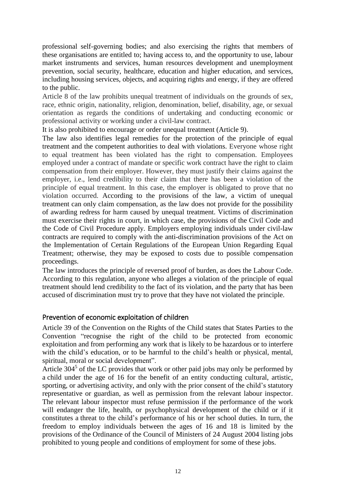professional self-governing bodies; and also exercising the rights that members of these organisations are entitled to; having access to, and the opportunity to use, labour market instruments and services, human resources development and unemployment prevention, social security, healthcare, education and higher education, and services, including housing services, objects, and acquiring rights and energy, if they are offered to the public.

Article 8 of the law prohibits unequal treatment of individuals on the grounds of sex, race, ethnic origin, nationality, religion, denomination, belief, disability, age, or sexual orientation as regards the conditions of undertaking and conducting economic or professional activity or working under a civil-law contract.

It is also prohibited to encourage or order unequal treatment (Article 9).

The law also identifies legal remedies for the protection of the principle of equal treatment and the competent authorities to deal with violations. Everyone whose right to equal treatment has been violated has the right to compensation. Employees employed under a contract of mandate or specific work contract have the right to claim compensation from their employer. However, they must justify their claims against the employer, i.e., lend credibility to their claim that there has been a violation of the principle of equal treatment. In this case, the employer is obligated to prove that no violation occurred. According to the provisions of the law, a victim of unequal treatment can only claim compensation, as the law does not provide for the possibility of awarding redress for harm caused by unequal treatment. Victims of discrimination must exercise their rights in court, in which case, the provisions of the Civil Code and the Code of Civil Procedure apply. Employers employing individuals under civil-law contracts are required to comply with the anti-discrimination provisions of the Act on the Implementation of Certain Regulations of the European Union Regarding Equal Treatment; otherwise, they may be exposed to costs due to possible compensation proceedings.

The law introduces the principle of reversed proof of burden, as does the Labour Code. According to this regulation, anyone who alleges a violation of the principle of equal treatment should lend credibility to the fact of its violation, and the party that has been accused of discrimination must try to prove that they have not violated the principle.

## <span id="page-11-0"></span>Prevention of economic exploitation of children

Article 39 of the Convention on the Rights of the Child states that States Parties to the Convention "recognise the right of the child to be protected from economic exploitation and from performing any work that is likely to be hazardous or to interfere with the child's education, or to be harmful to the child's health or physical, mental, spiritual, moral or social development".

Article  $304<sup>5</sup>$  of the LC provides that work or other paid jobs may only be performed by a child under the age of 16 for the benefit of an entity conducting cultural, artistic, sporting, or advertising activity, and only with the prior consent of the child's statutory representative or guardian, as well as permission from the relevant labour inspector. The relevant labour inspector must refuse permission if the performance of the work will endanger the life, health, or psychophysical development of the child or if it constitutes a threat to the child's performance of his or her school duties. In turn, the freedom to employ individuals between the ages of 16 and 18 is limited by the provisions of the Ordinance of the Council of Ministers of 24 August 2004 listing jobs prohibited to young people and conditions of employment for some of these jobs.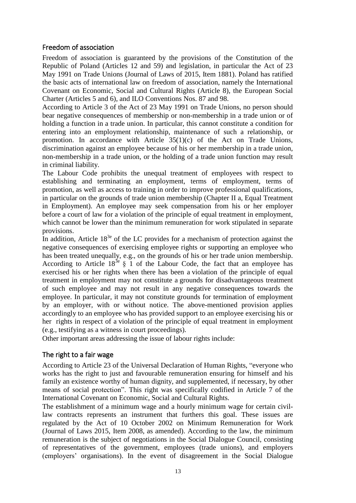### <span id="page-12-0"></span>Freedom of association

Freedom of association is guaranteed by the provisions of the Constitution of the Republic of Poland (Articles 12 and 59) and legislation, in particular the Act of 23 May 1991 on Trade Unions (Journal of Laws of 2015, Item 1881). Poland has ratified the basic acts of international law on freedom of association, namely the International Covenant on Economic, Social and Cultural Rights (Article 8), the European Social Charter (Articles 5 and 6), and ILO Conventions Nos. 87 and 98.

According to Article 3 of the Act of 23 May 1991 on Trade Unions, no person should bear negative consequences of membership or non-membership in a trade union or of holding a function in a trade union. In particular, this cannot constitute a condition for entering into an employment relationship, maintenance of such a relationship, or promotion. In accordance with Article 35(1)(c) of the Act on Trade Unions, discrimination against an employee because of his or her membership in a trade union, non-membership in a trade union, or the holding of a trade union function may result in criminal liability.

The Labour Code prohibits the unequal treatment of employees with respect to establishing and terminating an employment, terms of employment, terms of promotion, as well as access to training in order to improve professional qualifications, in particular on the grounds of trade union membership (Chapter II a, Equal Treatment in Employment). An employee may seek compensation from his or her employer before a court of law for a violation of the principle of equal treatment in employment, which cannot be lower than the minimum remuneration for work stipulated in separate provisions.

In addition, Article  $18^{3e}$  of the LC provides for a mechanism of protection against the negative consequences of exercising employee rights or supporting an employee who has been treated unequally, e.g., on the grounds of his or her trade union membership. According to Article  $18^{3e}$  § 1 of the Labour Code, the fact that an employee has exercised his or her rights when there has been a violation of the principle of equal treatment in employment may not constitute a grounds for disadvantageous treatment of such employee and may not result in any negative consequences towards the employee. In particular, it may not constitute grounds for termination of employment by an employer, with or without notice. The above-mentioned provision applies accordingly to an employee who has provided support to an employee exercising his or her rights in respect of a violation of the principle of equal treatment in employment (e.g., testifying as a witness in court proceedings).

Other important areas addressing the issue of labour rights include:

## <span id="page-12-1"></span>The right to a fair wage

According to Article 23 of the Universal Declaration of Human Rights, "everyone who works has the right to just and favourable remuneration ensuring for himself and his family an existence worthy of human dignity, and supplemented, if necessary, by other means of social protection". This right was specifically codified in Article 7 of the International Covenant on Economic, Social and Cultural Rights.

The establishment of a minimum wage and a hourly minimum wage for certain civillaw contracts represents an instrument that furthers this goal. These issues are regulated by the Act of 10 October 2002 on Minimum Remuneration for Work (Journal of Laws 2015, Item 2008, as amended). According to the law, the minimum remuneration is the subject of negotiations in the Social Dialogue Council, consisting of representatives of the government, employees (trade unions), and employers (employers' organisations). In the event of disagreement in the Social Dialogue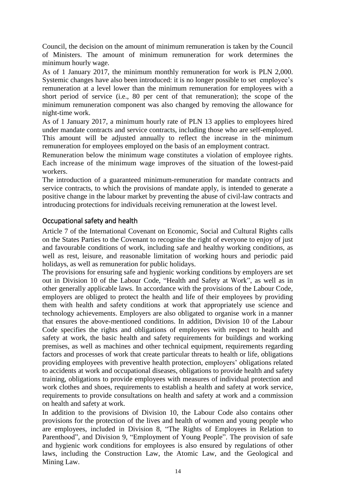Council, the decision on the amount of minimum remuneration is taken by the Council of Ministers. The amount of minimum remuneration for work determines the minimum hourly wage.

As of 1 January 2017, the minimum monthly remuneration for work is PLN 2,000. Systemic changes have also been introduced: it is no longer possible to set employee's remuneration at a level lower than the minimum remuneration for employees with a short period of service (i.e., 80 per cent of that remuneration); the scope of the minimum remuneration component was also changed by removing the allowance for night-time work.

As of 1 January 2017, a minimum hourly rate of PLN 13 applies to employees hired under mandate contracts and service contracts, including those who are self-employed. This amount will be adjusted annually to reflect the increase in the minimum remuneration for employees employed on the basis of an employment contract.

Remuneration below the minimum wage constitutes a violation of employee rights. Each increase of the minimum wage improves of the situation of the lowest-paid workers.

The introduction of a guaranteed minimum-remuneration for mandate contracts and service contracts, to which the provisions of mandate apply, is intended to generate a positive change in the labour market by preventing the abuse of civil-law contracts and introducing protections for individuals receiving remuneration at the lowest level.

### <span id="page-13-0"></span>Occupational safety and health

Article 7 of the International Covenant on Economic, Social and Cultural Rights calls on the States Parties to the Covenant to recognise the right of everyone to enjoy of just and favourable conditions of work, including safe and healthy working conditions, as well as rest, leisure, and reasonable limitation of working hours and periodic paid holidays, as well as remuneration for public holidays.

The provisions for ensuring safe and hygienic working conditions by employers are set out in Division 10 of the Labour Code, "Health and Safety at Work", as well as in other generally applicable laws. In accordance with the provisions of the Labour Code, employers are obliged to protect the health and life of their employees by providing them with health and safety conditions at work that appropriately use science and technology achievements. Employers are also obligated to organise work in a manner that ensures the above-mentioned conditions. In addition, Division 10 of the Labour Code specifies the rights and obligations of employees with respect to health and safety at work, the basic health and safety requirements for buildings and working premises, as well as machines and other technical equipment, requirements regarding factors and processes of work that create particular threats to health or life, obligations providing employees with preventive health protection, employers' obligations related to accidents at work and occupational diseases, obligations to provide health and safety training, obligations to provide employees with measures of individual protection and work clothes and shoes, requirements to establish a health and safety at work service, requirements to provide consultations on health and safety at work and a commission on health and safety at work.

In addition to the provisions of Division 10, the Labour Code also contains other provisions for the protection of the lives and health of women and young people who are employees, included in Division 8, "The Rights of Employees in Relation to Parenthood", and Division 9, "Employment of Young People". The provision of safe and hygienic work conditions for employees is also ensured by regulations of other laws, including the Construction Law, the Atomic Law, and the Geological and Mining Law.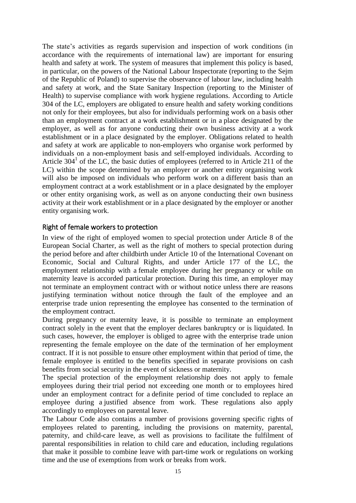The state's activities as regards supervision and inspection of work conditions (in accordance with the requirements of international law) are important for ensuring health and safety at work. The system of measures that implement this policy is based, in particular, on the powers of the National Labour Inspectorate (reporting to the Sejm of the Republic of Poland) to supervise the observance of labour law, including health and safety at work, and the State Sanitary Inspection (reporting to the Minister of Health) to supervise compliance with work hygiene regulations. According to Article 304 of the LC, employers are obligated to ensure health and safety working conditions not only for their employees, but also for individuals performing work on a basis other than an employment contract at a work establishment or in a place designated by the employer, as well as for anyone conducting their own business activity at a work establishment or in a place designated by the employer. Obligations related to health and safety at work are applicable to non-employers who organise work performed by individuals on a non-employment basis and self-employed individuals. According to Article  $304<sup>1</sup>$  of the LC, the basic duties of employees (referred to in Article 211 of the LC) within the scope determined by an employer or another entity organising work will also be imposed on individuals who perform work on a different basis than an employment contract at a work establishment or in a place designated by the employer or other entity organising work, as well as on anyone conducting their own business activity at their work establishment or in a place designated by the employer or another entity organising work.

### <span id="page-14-0"></span>Right of female workers to protection

In view of the right of employed women to special protection under Article 8 of the European Social Charter, as well as the right of mothers to special protection during the period before and after childbirth under Article 10 of the International Covenant on Economic, Social and Cultural Rights, and under Article 177 of the LC, the employment relationship with a female employee during her pregnancy or while on maternity leave is accorded particular protection. During this time, an employer may not terminate an employment contract with or without notice unless there are reasons justifying termination without notice through the fault of the employee and an enterprise trade union representing the employee has consented to the termination of the employment contract.

During pregnancy or maternity leave, it is possible to terminate an employment contract solely in the event that the employer declares bankruptcy or is liquidated. In such cases, however, the employer is obliged to agree with the enterprise trade union representing the female employee on the date of the termination of her employment contract. If it is not possible to ensure other employment within that period of time, the female employee is entitled to the benefits specified in separate provisions on cash benefits from social security in the event of sickness or maternity.

The special protection of the employment relationship does not apply to female employees during their trial period not exceeding one month or to employees hired under an employment contract for a definite period of time concluded to replace an employee during a justified absence from work. These regulations also apply accordingly to employees on parental leave.

The Labour Code also contains a number of provisions governing specific rights of employees related to parenting, including the provisions on maternity, parental, paternity, and child-care leave, as well as provisions to facilitate the fulfilment of parental responsibilities in relation to child care and education, including regulations that make it possible to combine leave with part-time work or regulations on working time and the use of exemptions from work or breaks from work.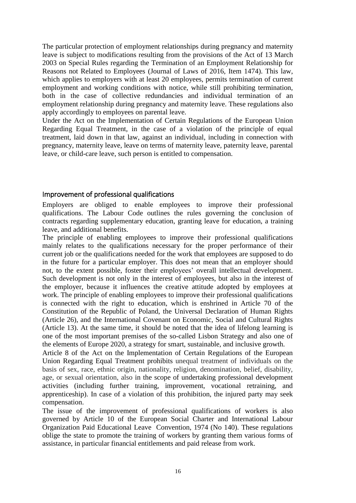The particular protection of employment relationships during pregnancy and maternity leave is subject to modifications resulting from the provisions of the Act of 13 March 2003 on Special Rules regarding the Termination of an Employment Relationship for Reasons not Related to Employees (Journal of Laws of 2016, Item 1474). This law, which applies to employers with at least 20 employees, permits termination of current employment and working conditions with notice, while still prohibiting termination, both in the case of collective redundancies and individual termination of an employment relationship during pregnancy and maternity leave. These regulations also apply accordingly to employees on parental leave.

Under the Act on the Implementation of Certain Regulations of the European Union Regarding Equal Treatment, in the case of a violation of the principle of equal treatment, laid down in that law, against an individual, including in connection with pregnancy, maternity leave, leave on terms of maternity leave, paternity leave, parental leave, or child-care leave, such person is entitled to compensation.

### <span id="page-15-0"></span>Improvement of professional qualifications

Employers are obliged to enable employees to improve their professional qualifications. The Labour Code outlines the rules governing the conclusion of contracts regarding supplementary education, granting leave for education, a training leave, and additional benefits.

The principle of enabling employees to improve their professional qualifications mainly relates to the qualifications necessary for the proper performance of their current job or the qualifications needed for the work that employees are supposed to do in the future for a particular employer. This does not mean that an employer should not, to the extent possible, foster their employees' overall intellectual development. Such development is not only in the interest of employees, but also in the interest of the employer, because it influences the creative attitude adopted by employees at work. The principle of enabling employees to improve their professional qualifications is connected with the right to education, which is enshrined in Article 70 of the Constitution of the Republic of Poland, the Universal Declaration of Human Rights (Article 26), and the International Covenant on Economic, Social and Cultural Rights (Article 13). At the same time, it should be noted that the idea of lifelong learning is one of the most important premises of the so-called Lisbon Strategy and also one of the elements of Europe 2020, a strategy for smart, sustainable, and inclusive growth.

Article 8 of the Act on the Implementation of Certain Regulations of the European Union Regarding Equal Treatment prohibits unequal treatment of individuals on the basis of sex, race, ethnic origin, nationality, religion, denomination, belief, disability, age, or sexual orientation, also in the scope of undertaking professional development activities (including further training, improvement, vocational retraining, and apprenticeship). In case of a violation of this prohibition, the injured party may seek compensation.

The issue of the improvement of professional qualifications of workers is also governed by Article 10 of the European Social Charter and International Labour Organization Paid Educational Leave Convention, 1974 (No 140). These regulations oblige the state to promote the training of workers by granting them various forms of assistance, in particular financial entitlements and paid release from work.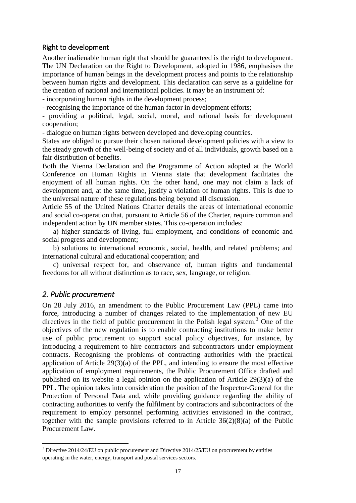### <span id="page-16-0"></span>Right to development

Another inalienable human right that should be guaranteed is the right to development. The UN Declaration on the Right to Development, adopted in 1986, emphasises the importance of human beings in the development process and points to the relationship between human rights and development. This declaration can serve as a guideline for the creation of national and international policies. It may be an instrument of:

- incorporating human rights in the development process;

- recognising the importance of the human factor in development efforts;

- providing a political, legal, social, moral, and rational basis for development cooperation;

- dialogue on human rights between developed and developing countries.

States are obliged to pursue their chosen national development policies with a view to the steady growth of the well-being of society and of all individuals, growth based on a fair distribution of benefits.

Both the Vienna Declaration and the Programme of Action adopted at the World Conference on Human Rights in Vienna state that development facilitates the enjoyment of all human rights. On the other hand, one may not claim a lack of development and, at the same time, justify a violation of human rights. This is due to the universal nature of these regulations being beyond all discussion.

Article 55 of the United Nations Charter details the areas of international economic and social co-operation that, pursuant to Article 56 of the Charter, require common and independent action by UN member states. This co-operation includes:

a) higher standards of living, full employment, and conditions of economic and social progress and development;

b) solutions to international economic, social, health, and related problems; and international cultural and educational cooperation; and

c) universal respect for, and observance of, human rights and fundamental freedoms for all without distinction as to race, sex, language, or religion.

## <span id="page-16-1"></span>*2. Public procurement*

1

On 28 July 2016, an amendment to the Public Procurement Law (PPL) came into force, introducing a number of changes related to the implementation of new EU directives in the field of public procurement in the Polish legal system.<sup>3</sup> One of the objectives of the new regulation is to enable contracting institutions to make better use of public procurement to support social policy objectives, for instance, by introducing a requirement to hire contractors and subcontractors under employment contracts. Recognising the problems of contracting authorities with the practical application of Article 29(3)(a) of the PPL, and intending to ensure the most effective application of employment requirements, the Public Procurement Office drafted and published on its website a legal opinion on the application of Article 29(3)(a) of the PPL. The opinion takes into consideration the position of the Inspector-General for the Protection of Personal Data and, while providing guidance regarding the ability of contracting authorities to verify the fulfilment by contractors and subcontractors of the requirement to employ personnel performing activities envisioned in the contract, together with the sample provisions referred to in Article  $36(2)(8)(a)$  of the Public Procurement Law.

<sup>&</sup>lt;sup>3</sup> Directive 2014/24/EU on public procurement and Directive 2014/25/EU on procurement by entities operating in the water, energy, transport and postal services sectors.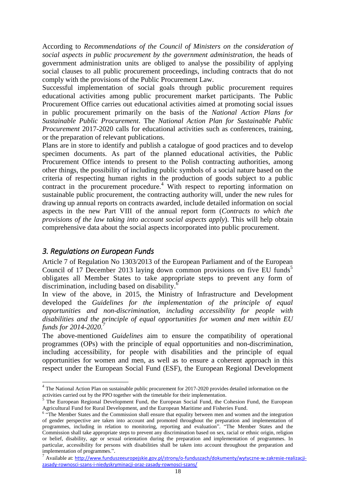According to *Recommendations of the Council of Ministers on the consideration of social aspects in public procurement by the government administration,* the heads of government administration units are obliged to analyse the possibility of applying social clauses to all public procurement proceedings, including contracts that do not comply with the provisions of the Public Procurement Law.

Successful implementation of social goals through public procurement requires educational activities among public procurement market participants. The Public Procurement Office carries out educational activities aimed at promoting social issues in public procurement primarily on the basis of the *National Action Plans for Sustainable Public Procurement*. The *National Action Plan for Sustainable Public Procurement* 2017-2020 calls for educational activities such as conferences, training, or the preparation of relevant publications.

Plans are in store to identify and publish a catalogue of good practices and to develop specimen documents. As part of the planned educational activities, the Public Procurement Office intends to present to the Polish contracting authorities, among other things, the possibility of including public symbols of a social nature based on the criteria of respecting human rights in the production of goods subject to a public contract in the procurement procedure.<sup>4</sup> With respect to reporting information on sustainable public procurement, the contracting authority will, under the new rules for drawing up annual reports on contracts awarded, include detailed information on social aspects in the new Part VIII of the annual report form (*Contracts to which the provisions of the law taking into account social aspects apply*). This will help obtain comprehensive data about the social aspects incorporated into public procurement.

### <span id="page-17-0"></span>*3. Regulations on European Funds*

1

Article 7 of Regulation No 1303/2013 of the European Parliament and of the European Council of 17 December 2013 laying down common provisions on five EU funds<sup>5</sup> obligates all Member States to take appropriate steps to prevent any form of discrimination, including based on disability.<sup>6</sup>

In view of the above, in 2015, the Ministry of Infrastructure and Development developed the *Guidelines for the implementation of the principle of equal opportunities and non-discrimination, including accessibility for people with disabilities and the principle of equal opportunities for women and men within EU funds for 2014-2020.<sup>7</sup>*

The above-mentioned *Guidelines* aim to ensure the compatibility of operational programmes (OPs) with the principle of equal opportunities and non-discrimination, including accessibility, for people with disabilities and the principle of equal opportunities for women and men, as well as to ensure a coherent approach in this respect under the European Social Fund (ESF), the European Regional Development

<sup>&</sup>lt;sup>4</sup> The National Action Plan on sustainable public procurement for 2017-2020 provides detailed information on the activities carried out by the PPO together with the timetable for their implementation.

<sup>&</sup>lt;sup>5</sup> The European Regional Development Fund, the European Social Fund, the Cohesion Fund, the European

Agricultural Fund for Rural Development, and the European Maritime and Fisheries Fund.<br><sup>6</sup> "The Member States and the Commission shall ensure that equality between men and women and the integration of gender perspective are taken into account and promoted throughout the preparation and implementation of programmes, including in relation to monitoring, reporting and evaluation". "The Member States and the Commission shall take appropriate steps to prevent any discrimination based on sex, racial or ethnic origin, religion or belief, disability, age or sexual orientation during the preparation and implementation of programmes. In particular, accessibility for persons with disabilities shall be taken into account throughout the preparation and implementation of programmes.".

 $^7$  Available at: [http://www.funduszeeuropejskie.gov.pl/strony/o-funduszach/dokumenty/wytyczne-w-zakresie-realizacji](http://www.funduszeeuropejskie.gov.pl/strony/o-funduszach/dokumenty/wytyczne-w-zakresie-realizacji-zasady-rownosci-szans-i-niedyskryminacji-oraz-zasady-rownosci-szans/)[zasady-rownosci-szans-i-niedyskryminacji-oraz-zasady-rownosci-szans/](http://www.funduszeeuropejskie.gov.pl/strony/o-funduszach/dokumenty/wytyczne-w-zakresie-realizacji-zasady-rownosci-szans-i-niedyskryminacji-oraz-zasady-rownosci-szans/)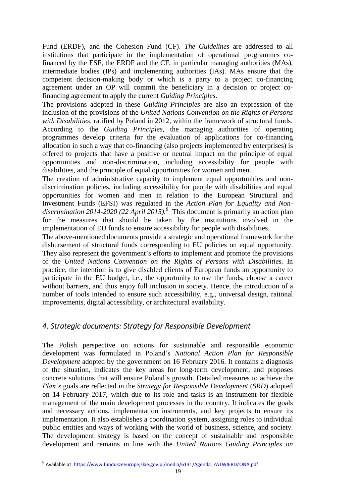Fund (ERDF), and the Cohesion Fund (CF). *The Guidelines* are addressed to all institutions that participate in the implementation of operational programmes cofinanced by the ESF, the ERDF and the CF, in particular managing authorities (MAs), intermediate bodies (IPs) and implementing authorities (IAs). MAs ensure that the competent decision-making body or which is a party to a project co-financing agreement under an OP will commit the beneficiary in a decision or project cofinancing agreement to apply the current *Guiding Principles*.

The provisions adopted in these *Guiding Principles* are also an expression of the inclusion of the provisions of the *United Nations Convention on the Rights of Persons with Disabilities*, ratified by Poland in 2012, within the framework of structural funds. According to the *Guiding Principles,* the managing authorities of operating programmes develop criteria for the evaluation of applications for co-financing allocation in such a way that co-financing (also projects implemented by enterprises) is offered to projects that have a positive or neutral impact on the principle of equal opportunities and non-discrimination, including accessibility for people with disabilities, and the principle of equal opportunities for women and men.

The creation of administrative capacity to implement equal opportunities and nondiscrimination policies, including accessibility for people with disabilities and equal opportunities for women and men in relation to the European Structural and Investment Funds (EFSI) was regulated in the *Action Plan for Equality and Non*discrimination 2014-2020 (22 April 2015).<sup>8</sup> This document is primarily an action plan for the measures that should be taken by the institutions involved in the implementation of EU funds to ensure accessibility for people with disabilities.

The above-mentioned documents provide a strategic and operational framework for the disbursement of structural funds corresponding to EU policies on equal opportunity. They also represent the government's efforts to implement and promote the provisions of the *United Nations Convention on the Rights of Persons with Disabilities.* In practice, the intention is to give disabled clients of European funds an opportunity to participate in the EU budget, i.e., the opportunity to use the funds, choose a career without barriers, and thus enjoy full inclusion in society. Hence, the introduction of a number of tools intended to ensure such accessibility, e.g., universal design, rational improvements, digital accessibility, or architectural availability.

## <span id="page-18-0"></span>*4. Strategic documents: Strategy for Responsible Development*

The Polish perspective on actions for sustainable and responsible economic development was formulated in Poland's *National Action Plan for Responsible Development* adopted by the government on 16 February 2016. It contains a diagnosis of the situation, indicates the key areas for long-term development, and proposes concrete solutions that will ensure Poland's growth. Detailed measures to achieve the *Plan's* goals are reflected in the *Strategy for Responsible Development* (*SRD*) adopted on 14 February 2017, which due to its role and tasks is an instrument for flexible management of the main development processes in the country. It indicates the goals and necessary actions, implementation instruments, and key projects to ensure its implementation. It also establishes a coordination system, assigning roles to individual public entities and ways of working with the world of business, science, and society. The development strategy is based on the concept of sustainable and responsible development and remains in line with the *United Nations Guiding Principles on* 

1

<sup>&</sup>lt;sup>8</sup> Available a[t: https://www.funduszeeuropejskie.gov.pl/media/6131/Agenda\\_ZATWIERDZONA.pdf](https://www.funduszeeuropejskie.gov.pl/media/6131/Agenda_ZATWIERDZONA.pdf)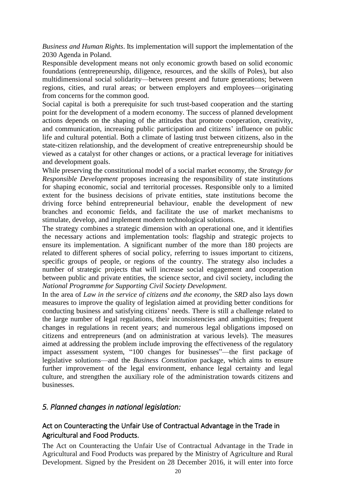*Business and Human Rights*. Its implementation will support the implementation of the 2030 Agenda in Poland.

Responsible development means not only economic growth based on solid economic foundations (entrepreneurship, diligence, resources, and the skills of Poles), but also multidimensional social solidarity—between present and future generations; between regions, cities, and rural areas; or between employers and employees—originating from concerns for the common good.

Social capital is both a prerequisite for such trust-based cooperation and the starting point for the development of a modern economy. The success of planned development actions depends on the shaping of the attitudes that promote cooperation, creativity, and communication, increasing public participation and citizens' influence on public life and cultural potential. Both a climate of lasting trust between citizens, also in the state-citizen relationship, and the development of creative entrepreneurship should be viewed as a catalyst for other changes or actions, or a practical leverage for initiatives and development goals.

While preserving the constitutional model of a social market economy, the *Strategy for Responsible Development* proposes increasing the responsibility of state institutions for shaping economic, social and territorial processes. Responsible only to a limited extent for the business decisions of private entities, state institutions become the driving force behind entrepreneurial behaviour, enable the development of new branches and economic fields, and facilitate the use of market mechanisms to stimulate, develop, and implement modern technological solutions.

The strategy combines a strategic dimension with an operational one, and it identifies the necessary actions and implementation tools: flagship and strategic projects to ensure its implementation. A significant number of the more than 180 projects are related to different spheres of social policy, referring to issues important to citizens, specific groups of people, or regions of the country. The strategy also includes a number of strategic projects that will increase social engagement and cooperation between public and private entities, the science sector, and civil society, including the *National Programme for Supporting Civil Society Development.* 

In the area of *Law in the service of citizens and the economy*, the *SRD* also lays down measures to improve the quality of legislation aimed at providing better conditions for conducting business and satisfying citizens' needs. There is still a challenge related to the large number of legal regulations, their inconsistencies and ambiguities; frequent changes in regulations in recent years; and numerous legal obligations imposed on citizens and entrepreneurs (and on administration at various levels). The measures aimed at addressing the problem include improving the effectiveness of the regulatory impact assessment system, "100 changes for businesses"—the first package of legislative solutions—and the *Business Constitution* package*,* which aims to ensure further improvement of the legal environment, enhance legal certainty and legal culture, and strengthen the auxiliary role of the administration towards citizens and businesses.

### <span id="page-19-0"></span>*5. Planned changes in national legislation:*

## <span id="page-19-1"></span>Act on Counteracting the Unfair Use of Contractual Advantage in the Trade in Agricultural and Food Products.

The [Act on Counteracting the Unfair Use of Contractual Advantage in the Trade in](http://orka.sejm.gov.pl/opinie8.nsf/nazwa/790_u/$file/790_u.pdf) [Agricultural and Food Products w](http://orka.sejm.gov.pl/opinie8.nsf/nazwa/790_u/$file/790_u.pdf)as prepared by the Ministry of Agriculture and Rural Development. Signed by the President on 28 December 2016, it will enter into force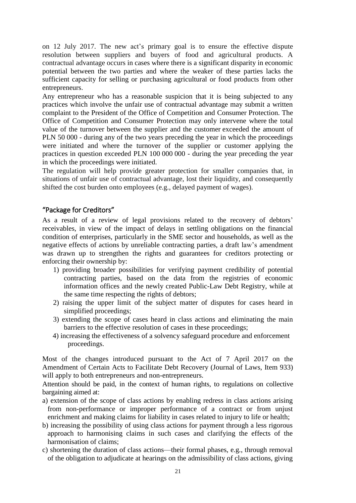on 12 July 2017. The new act's primary goal is to ensure the effective dispute resolution between suppliers and buyers of food and agricultural products. A contractual advantage occurs in cases where there is a significant disparity in economic potential between the two parties and where the weaker of these parties lacks the sufficient capacity for selling or purchasing agricultural or food products from other entrepreneurs.

Any entrepreneur who has a reasonable suspicion that it is being subjected to any practices which involve the unfair use of contractual advantage may submit a written complaint to the President of the Office of Competition and Consumer Protection. The Office of Competition and Consumer Protection may only intervene where the total value of the turnover between the supplier and the customer exceeded the amount of PLN 50 000 - during any of the two years preceding the year in which the proceedings were initiated and where the turnover of the supplier or customer applying the practices in question exceeded PLN 100 000 000 - during the year preceding the year in which the proceedings were initiated.

The regulation will help provide greater protection for smaller companies that, in situations of unfair use of contractual advantage, lost their liquidity, and consequently shifted the cost burden onto employees (e.g., delayed payment of wages).

### <span id="page-20-0"></span>"Package for Creditors"

As a result of a review of legal provisions related to the recovery of debtors' receivables, in view of the impact of delays in settling obligations on the financial condition of enterprises, particularly in the SME sector and households, as well as the negative effects of actions by unreliable contracting parties, a draft law's amendment was drawn up to strengthen the rights and guarantees for creditors protecting or enforcing their ownership by:

- 1) providing broader possibilities for verifying payment credibility of potential contracting parties, based on the data from the registries of economic information offices and the newly created Public-Law Debt Registry, while at the same time respecting the rights of debtors;
- 2) raising the upper limit of the subject matter of disputes for cases heard in simplified proceedings;
- 3) extending the scope of cases heard in class actions and eliminating the main barriers to the effective resolution of cases in these proceedings;
- 4) increasing the effectiveness of a solvency safeguard procedure and enforcement proceedings.

Most of the changes introduced pursuant to the Act of 7 April 2017 on the Amendment of Certain Acts to Facilitate Debt Recovery (Journal of Laws, Item 933) will apply to both entrepreneurs and non-entrepreneurs.

Attention should be paid, in the context of human rights, to regulations on collective bargaining aimed at:

- a) extension of the scope of class actions by enabling redress in class actions arising from non-performance or improper performance of a contract or from unjust enrichment and making claims for liability in cases related to injury to life or health;
- b) increasing the possibility of using class actions for payment through a less rigorous approach to harmonising claims in such cases and clarifying the effects of the harmonisation of claims;
- c) shortening the duration of class actions—their formal phases, e.g., through removal of the obligation to adjudicate at hearings on the admissibility of class actions, giving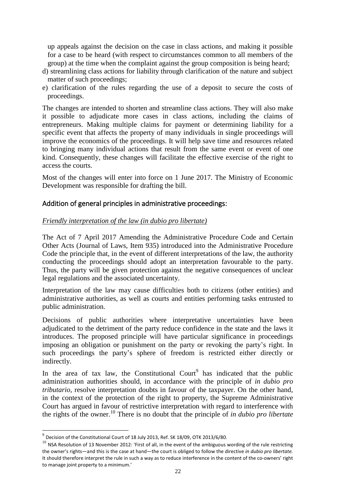up appeals against the decision on the case in class actions, and making it possible for a case to be heard (with respect to circumstances common to all members of the group) at the time when the complaint against the group composition is being heard;

- d) streamlining class actions for liability through clarification of the nature and subject matter of such proceedings;
- e) clarification of the rules regarding the use of a deposit to secure the costs of proceedings.

The changes are intended to shorten and streamline class actions. They will also make it possible to adjudicate more cases in class actions, including the claims of entrepreneurs. Making multiple claims for payment or determining liability for a specific event that affects the property of many individuals in single proceedings will improve the economics of the proceedings. It will help save time and resources related to bringing many individual actions that result from the same event or event of one kind. Consequently, these changes will facilitate the effective exercise of the right to access the courts.

Most of the changes will enter into force on 1 June 2017. The Ministry of Economic Development was responsible for drafting the bill.

### <span id="page-21-0"></span>Addition of general principles in administrative proceedings:

### *Friendly interpretation of the law (in dubio pro libertate)*

The Act of 7 April 2017 Amending the Administrative Procedure Code and Certain Other Acts (Journal of Laws, Item 935) introduced into the Administrative Procedure Code the principle that, in the event of different interpretations of the law, the authority conducting the proceedings should adopt an interpretation favourable to the party. Thus, the party will be given protection against the negative consequences of unclear legal regulations and the associated uncertainty.

Interpretation of the law may cause difficulties both to citizens (other entities) and administrative authorities, as well as courts and entities performing tasks entrusted to public administration.

Decisions of public authorities where interpretative uncertainties have been adjudicated to the detriment of the party reduce confidence in the state and the laws it introduces. The proposed principle will have particular significance in proceedings imposing an obligation or punishment on the party or revoking the party's right. In such proceedings the party's sphere of freedom is restricted either directly or indirectly.

In the area of tax law, the Constitutional Court<sup>9</sup> has indicated that the public administration authorities should, in accordance with the principle of *in dubio pro tributario*, resolve interpretation doubts in favour of the taxpayer. On the other hand, in the context of the protection of the right to property, the Supreme Administrative Court has argued in favour of restrictive interpretation with regard to interference with the rights of the owner.<sup>10</sup> There is no doubt that the principle of *in dubio pro libertate* 

 9 Decision of the Constitutional Court of 18 July 2013, Ref. SK 18/09, OTK 2013/6/80.

 $10$  NSA Resolution of 13 November 2012: 'First of all, in the event of the ambiguous wording of the rule restricting the owner's rights—and this is the case at hand—the court is obliged to follow the directive *in dubio pro libertate*. It should therefore interpret the rule in such a way as to reduce interference in the content of the co-owners' right to manage joint property to a minimum.'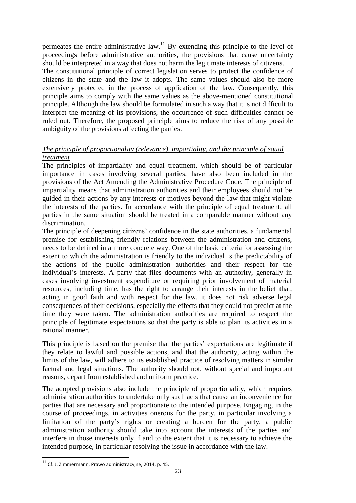permeates the entire administrative law.<sup>11</sup> By extending this principle to the level of proceedings before administrative authorities, the provisions that cause uncertainty should be interpreted in a way that does not harm the legitimate interests of citizens.

The constitutional principle of correct legislation serves to protect the confidence of citizens in the state and the law it adopts. The same values should also be more extensively protected in the process of application of the law. Consequently, this principle aims to comply with the same values as the above-mentioned constitutional principle. Although the law should be formulated in such a way that it is not difficult to interpret the meaning of its provisions, the occurrence of such difficulties cannot be ruled out. Therefore, the proposed principle aims to reduce the risk of any possible ambiguity of the provisions affecting the parties.

### *The principle of proportionality (relevance), impartiality, and the principle of equal treatment*

The principles of impartiality and equal treatment, which should be of particular importance in cases involving several parties, have also been included in the provisions of the Act Amending the Administrative Procedure Code. The principle of impartiality means that administration authorities and their employees should not be guided in their actions by any interests or motives beyond the law that might violate the interests of the parties. In accordance with the principle of equal treatment, all parties in the same situation should be treated in a comparable manner without any discrimination.

The principle of deepening citizens' confidence in the state authorities, a fundamental premise for establishing friendly relations between the administration and citizens, needs to be defined in a more concrete way. One of the basic criteria for assessing the extent to which the administration is friendly to the individual is the predictability of the actions of the public administration authorities and their respect for the individual's interests. A party that files documents with an authority, generally in cases involving investment expenditure or requiring prior involvement of material resources, including time, has the right to arrange their interests in the belief that, acting in good faith and with respect for the law, it does not risk adverse legal consequences of their decisions, especially the effects that they could not predict at the time they were taken. The administration authorities are required to respect the principle of legitimate expectations so that the party is able to plan its activities in a rational manner.

This principle is based on the premise that the parties' expectations are legitimate if they relate to lawful and possible actions, and that the authority, acting within the limits of the law, will adhere to its established practice of resolving matters in similar factual and legal situations. The authority should not, without special and important reasons, depart from established and uniform practice.

The adopted provisions also include the principle of proportionality, which requires administration authorities to undertake only such acts that cause an inconvenience for parties that are necessary and proportionate to the intended purpose. Engaging, in the course of proceedings, in activities onerous for the party, in particular involving a limitation of the party's rights or creating a burden for the party, a public administration authority should take into account the interests of the parties and interfere in those interests only if and to the extent that it is necessary to achieve the intended purpose, in particular resolving the issue in accordance with the law.

-

 $^{11}$  Cf. J. Zimmermann, Prawo administracyjne, 2014, p. 45.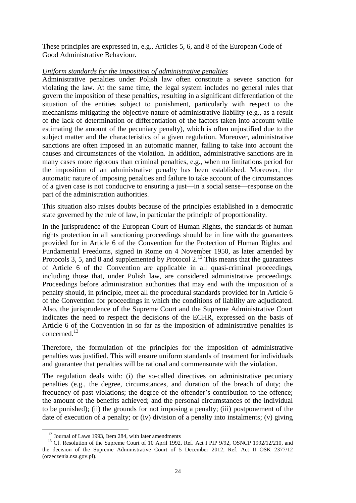These principles are expressed in, e.g., Articles 5, 6, and 8 of the European Code of Good Administrative Behaviour.

### *Uniform standards for the imposition of administrative penalties*

Administrative penalties under Polish law often constitute a severe sanction for violating the law. At the same time, the legal system includes no general rules that govern the imposition of these penalties, resulting in a significant differentiation of the situation of the entities subject to punishment, particularly with respect to the mechanisms mitigating the objective nature of administrative liability (e.g., as a result of the lack of determination or differentiation of the factors taken into account while estimating the amount of the pecuniary penalty), which is often unjustified due to the subject matter and the characteristics of a given regulation. Moreover, administrative sanctions are often imposed in an automatic manner, failing to take into account the causes and circumstances of the violation. In addition, administrative sanctions are in many cases more rigorous than criminal penalties, e.g., when no limitations period for the imposition of an administrative penalty has been established. Moreover, the automatic nature of imposing penalties and failure to take account of the circumstances of a given case is not conducive to ensuring a just—in a social sense—response on the part of the administration authorities.

This situation also raises doubts because of the principles established in a democratic state governed by the rule of law, in particular the principle of proportionality.

In the jurisprudence of the European Court of Human Rights, the standards of human rights protection in all sanctioning proceedings should be in line with the guarantees provided for in Article 6 of the Convention for the Protection of Human Rights and Fundamental Freedoms, signed in Rome on 4 November 1950, as later amended by Protocols 3, 5, and 8 and supplemented by Protocol 2.<sup>12</sup> This means that the guarantees of Article 6 of the Convention are applicable in all quasi-criminal proceedings, including those that, under Polish law, are considered administrative proceedings. Proceedings before administration authorities that may end with the imposition of a penalty should, in principle, meet all the procedural standards provided for in Article 6 of the Convention for proceedings in which the conditions of liability are adjudicated. Also, the jurisprudence of the Supreme Court and the Supreme Administrative Court indicates the need to respect the decisions of the ECHR, expressed on the basis of Article 6 of the Convention in so far as the imposition of administrative penalties is concerned<sup>13</sup>

Therefore, the formulation of the principles for the imposition of administrative penalties was justified. This will ensure uniform standards of treatment for individuals and guarantee that penalties will be rational and commensurate with the violation.

The regulation deals with: (i) the so-called directives on administrative pecuniary penalties (e.g., the degree, circumstances, and duration of the breach of duty; the frequency of past violations; the degree of the offender's contribution to the offence; the amount of the benefits achieved; and the personal circumstances of the individual to be punished); (ii) the grounds for not imposing a penalty; (iii) postponement of the date of execution of a penalty; or (iv) division of a penalty into instalments; (v) giving

-

<sup>&</sup>lt;sup>12</sup> Journal of Laws 1993, Item 284, with later amendments

<sup>&</sup>lt;sup>13</sup> Cf. Resolution of the Supreme Court of 10 April 1992, Ref. Act I PIP 9/92, OSNCP 1992/12/210, and the decision of the Supreme Administrative Court of 5 December 2012, Ref. Act II OSK 2377/12 (orzeczenia.nsa.gov.pl).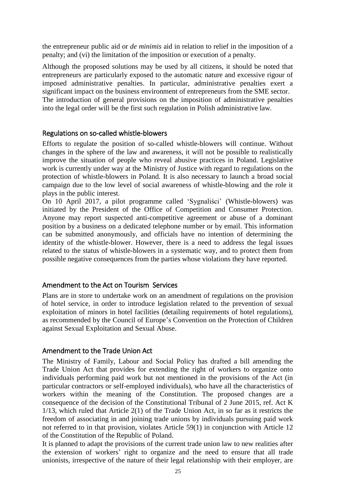the entrepreneur public aid or *de minimis* aid in relation to relief in the imposition of a penalty; and (vi) the limitation of the imposition or execution of a penalty.

Although the proposed solutions may be used by all citizens, it should be noted that entrepreneurs are particularly exposed to the automatic nature and excessive rigour of imposed administrative penalties. In particular, administrative penalties exert a significant impact on the business environment of entrepreneurs from the SME sector. The introduction of general provisions on the imposition of administrative penalties into the legal order will be the first such regulation in Polish administrative law.

### <span id="page-24-0"></span>Regulations on so-called whistle-blowers

Efforts to regulate the position of so-called whistle-blowers will continue. Without changes in the sphere of the law and awareness, it will not be possible to realistically improve the situation of people who reveal abusive practices in Poland. Legislative work is currently under way at the Ministry of Justice with regard to regulations on the protection of whistle-blowers in Poland. It is also necessary to launch a broad social campaign due to the low level of social awareness of whistle-blowing and the role it plays in the public interest.

On 10 April 2017, a pilot programme called 'Sygnaliści' (Whistle-blowers) was initiated by the President of the Office of Competition and Consumer Protection. Anyone may report suspected anti-competitive agreement or abuse of a dominant position by a business on a dedicated telephone number or by email. This information can be submitted anonymously, and officials have no intention of determining the identity of the whistle-blower. However, there is a need to address the legal issues related to the status of whistle-blowers in a systematic way, and to protect them from possible negative consequences from the parties whose violations they have reported.

### <span id="page-24-1"></span>Amendment to the Act on Tourism Services

Plans are in store to undertake work on an amendment of regulations on the provision of hotel service, in order to introduce legislation related to the prevention of sexual exploitation of minors in hotel facilities (detailing requirements of hotel regulations), as recommended by the Council of Europe's Convention on the Protection of Children against Sexual Exploitation and Sexual Abuse.

### <span id="page-24-2"></span>Amendment to the Trade Union Act

The Ministry of Family, Labour and Social Policy has drafted a bill amending the Trade Union Act that provides for extending the right of workers to organize onto individuals performing paid work but not mentioned in the provisions of the Act (in particular contractors or self-employed individuals), who have all the characteristics of workers within the meaning of the Constitution. The proposed changes are a consequence of the decision of the Constitutional Tribunal of 2 June 2015, ref. Act K 1/13, which ruled that Article 2(1) of the Trade Union Act, in so far as it restricts the freedom of associating in and joining trade unions by individuals pursuing paid work not referred to in that provision, violates Article 59(1) in conjunction with Article 12 of the Constitution of the Republic of Poland.

It is planned to adapt the provisions of the current trade union law to new realities after the extension of workers' right to organize and the need to ensure that all trade unionists, irrespective of the nature of their legal relationship with their employer, are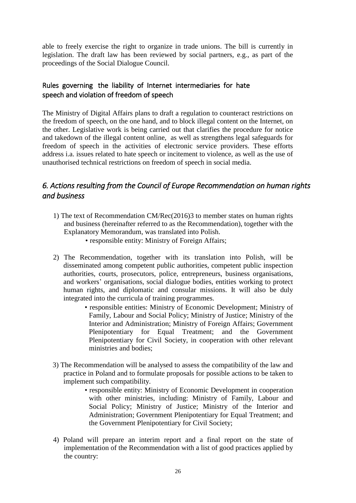able to freely exercise the right to organize in trade unions. The bill is currently in legislation. The draft law has been reviewed by social partners, e.g., as part of the proceedings of the Social Dialogue Council.

## <span id="page-25-0"></span>Rules governing the liability of Internet intermediaries for hate speech and violation of freedom of speech

The Ministry of Digital Affairs plans to draft a regulation to counteract restrictions on the freedom of speech, on the one hand, and to block illegal content on the Internet, on the other. Legislative work is being carried out that clarifies the procedure for notice and takedown of the illegal content online, as well as strengthens legal safeguards for freedom of speech in the activities of electronic service providers. These efforts address i.a. issues related to hate speech or incitement to violence, as well as the use of unauthorised technical restrictions on freedom of speech in social media.

## <span id="page-25-1"></span>*6. Actions resulting from the Council of Europe Recommendation on human rights and business*

- 1) The text of Recommendation CM/Rec(2016)3 to member states on human rights and business (hereinafter referred to as the Recommendation), together with the Explanatory Memorandum, was translated into Polish.
	- responsible entity: Ministry of Foreign Affairs;
- 2) The Recommendation, together with its translation into Polish, will be disseminated among competent public authorities, competent public inspection authorities, courts, prosecutors, police, entrepreneurs, business organisations, and workers' organisations, social dialogue bodies, entities working to protect human rights, and diplomatic and consular missions. It will also be duly integrated into the curricula of training programmes.
	- responsible entities: Ministry of Economic Development; Ministry of Family, Labour and Social Policy; Ministry of Justice; Ministry of the Interior and Administration; Ministry of Foreign Affairs; Government Plenipotentiary for Equal Treatment; and the Government Plenipotentiary for Civil Society, in cooperation with other relevant ministries and bodies;
- 3) The Recommendation will be analysed to assess the compatibility of the law and practice in Poland and to formulate proposals for possible actions to be taken to implement such compatibility.
	- responsible entity: Ministry of Economic Development in cooperation with other ministries, including: Ministry of Family, Labour and Social Policy; Ministry of Justice; Ministry of the Interior and Administration; Government Plenipotentiary for Equal Treatment; and the Government Plenipotentiary for Civil Society;
- 4) Poland will prepare an interim report and a final report on the state of implementation of the Recommendation with a list of good practices applied by the country: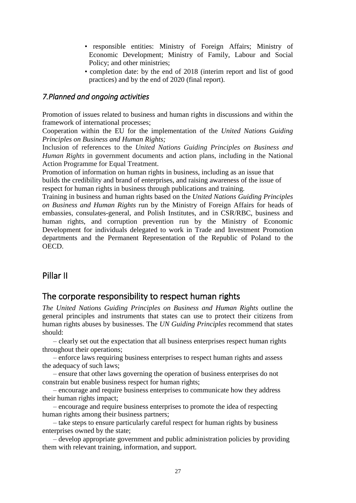- responsible entities: Ministry of Foreign Affairs; Ministry of Economic Development; Ministry of Family, Labour and Social Policy; and other ministries;
- completion date: by the end of 2018 (interim report and list of good practices) and by the end of 2020 (final report).

## <span id="page-26-0"></span>*7.Planned and ongoing activities*

Promotion of issues related to business and human rights in discussions and within the framework of international processes;

Cooperation within the EU for the implementation of the *United Nations Guiding Principles on Business and Human Rights;* 

Inclusion of references to the *United Nations Guiding Principles on Business and Human Rights* in government documents and action plans, including in the National Action Programme for Equal Treatment.

Promotion of information on human rights in business, including as an issue that builds the credibility and brand of enterprises, and raising awareness of the issue of respect for human rights in business through publications and training.

Training in business and human rights based on the *United Nations Guiding Principles on Business and Human Rights* run by the Ministry of Foreign Affairs for heads of embassies, consulates-general, and Polish Institutes, and in CSR/RBC, business and human rights, and corruption prevention run by the Ministry of Economic Development for individuals delegated to work in Trade and Investment Promotion departments and the Permanent Representation of the Republic of Poland to the OECD.

## <span id="page-26-1"></span>Pillar II

## <span id="page-26-2"></span>The corporate responsibility to respect human rights

*The United Nations Guiding Principles on Business and Human Rights* outline the general principles and instruments that states can use to protect their citizens from human rights abuses by businesses. The *UN Guiding Principles* recommend that states should:

– clearly set out the expectation that all business enterprises respect human rights throughout their operations;

– enforce laws requiring business enterprises to respect human rights and assess the adequacy of such laws;

 – ensure that other laws governing the operation of business enterprises do not constrain but enable business respect for human rights;

– encourage and require business enterprises to communicate how they address their human rights impact;

– encourage and require business enterprises to promote the idea of respecting human rights among their business partners;

– take steps to ensure particularly careful respect for human rights by business enterprises owned by the state;

– develop appropriate government and public administration policies by providing them with relevant training, information, and support.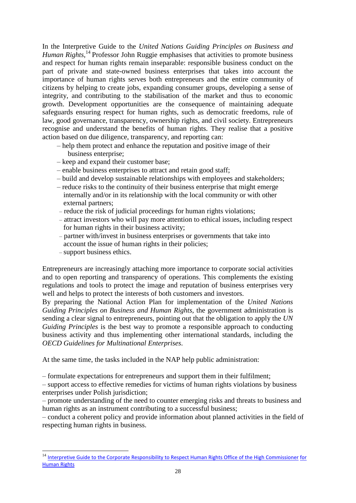In the Interpretive Guide to the *United Nations Guiding Principles on Business and*  Human Rights,<sup>14</sup> Professor John Ruggie emphasises that activities to promote business and respect for human rights remain inseparable: responsible business conduct on the part of private and state-owned business enterprises that takes into account the importance of human rights serves both entrepreneurs and the entire community of citizens by helping to create jobs, expanding consumer groups, developing a sense of integrity, and contributing to the stabilisation of the market and thus to economic growth. Development opportunities are the consequence of maintaining adequate safeguards ensuring respect for human rights, such as democratic freedoms, rule of law, good governance, transparency, ownership rights, and civil society. Entrepreneurs recognise and understand the benefits of human rights. They realise that a positive action based on due diligence, transparency, and reporting can:

- help them protect and enhance the reputation and positive image of their business enterprise;
- keep and expand their customer base;
- enable business enterprises to attract and retain good staff;
- build and develop sustainable relationships with employees and stakeholders;
- reduce risks to the continuity of their business enterprise that might emerge internally and/or in its relationship with the local community or with other external partners;
- reduce the risk of judicial proceedings for human rights violations;
- attract investors who will pay more attention to ethical issues, including respect for human rights in their business activity;
- partner with/invest in business enterprises or governments that take into account the issue of human rights in their policies;
- support business ethics.

-

Entrepreneurs are increasingly attaching more importance to corporate social activities and to open reporting and transparency of operations. This complements the existing regulations and tools to protect the image and reputation of business enterprises very well and helps to protect the interests of both customers and investors.

By preparing the National Action Plan for implementation of the *United Nations Guiding Principles on Business and Human Rights,* the government administration is sending a clear signal to entrepreneurs, pointing out that the obligation to apply the *UN Guiding Principles* is the best way to promote a responsible approach to conducting business activity and thus implementing other international standards, including the *OECD Guidelines for Multinational Enterprises*.

At the same time, the tasks included in the NAP help public administration:

– formulate expectations for entrepreneurs and support them in their fulfilment;

– support access to effective remedies for victims of human rights violations by business enterprises under Polish jurisdiction;

– promote understanding of the need to counter emerging risks and threats to business and human rights as an instrument contributing to a successful business;

– conduct a coherent policy and provide information about planned activities in the field of respecting human rights in business.

<sup>&</sup>lt;sup>14</sup> Interpretive Guide to the Corporate Responsibility to Respect Human Rights Office of the High Commissioner for [Human Rights](http://www.ohchr.org/Documents/Issues/Business/RtRInterpretativeGuide.pdf)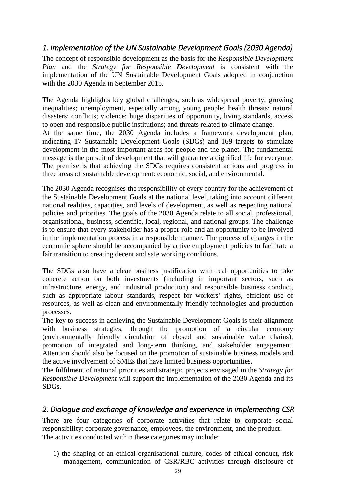## <span id="page-28-0"></span>*1. Implementation of the UN Sustainable Development Goals (2030 Agenda)*

The concept of responsible development as the basis for the *Responsible Development Plan* and the *Strategy for Responsible Development* is consistent with the implementation of the UN Sustainable Development Goals adopted in conjunction with the 2030 Agenda in September 2015.

The Agenda highlights key global challenges, such as widespread poverty; growing inequalities; unemployment, especially among young people; health threats; natural disasters; conflicts; violence; huge disparities of opportunity, living standards, access to open and responsible public institutions; and threats related to climate change. At the same time, the 2030 Agenda includes a framework development plan, indicating 17 Sustainable Development Goals (SDGs) and 169 targets to stimulate development in the most important areas for people and the planet. The fundamental message is the pursuit of development that will guarantee a dignified life for everyone. The premise is that achieving the SDGs requires consistent actions and progress in three areas of sustainable development: economic, social, and environmental.

The 2030 Agenda recognises the responsibility of every country for the achievement of the Sustainable Development Goals at the national level, taking into account different national realities, capacities, and levels of development, as well as respecting national policies and priorities. The goals of the 2030 Agenda relate to all social, professional, organisational, business, scientific, local, regional, and national groups. The challenge is to ensure that every stakeholder has a proper role and an opportunity to be involved in the implementation process in a responsible manner. The process of changes in the economic sphere should be accompanied by active employment policies to facilitate a fair transition to creating decent and safe working conditions.

The SDGs also have a clear business justification with real opportunities to take concrete action on both investments (including in important sectors, such as infrastructure, energy, and industrial production) and responsible business conduct, such as appropriate labour standards, respect for workers' rights, efficient use of resources, as well as clean and environmentally friendly technologies and production processes.

The key to success in achieving the Sustainable Development Goals is their alignment with business strategies, through the promotion of a circular economy (environmentally friendly circulation of closed and sustainable value chains), promotion of integrated and long-term thinking, and stakeholder engagement. Attention should also be focused on the promotion of sustainable business models and the active involvement of SMEs that have limited business opportunities.

The fulfilment of national priorities and strategic projects envisaged in the *Strategy for Responsible Development* will support the implementation of the 2030 Agenda and its SDGs.

## <span id="page-28-1"></span>*2. Dialogue and exchange of knowledge and experience in implementing CSR*

There are four categories of corporate activities that relate to corporate social responsibility: corporate governance, employees, the environment, and the product. The activities conducted within these categories may include:

1) the shaping of an ethical organisational culture, codes of ethical conduct, risk management, communication of CSR/RBC activities through disclosure of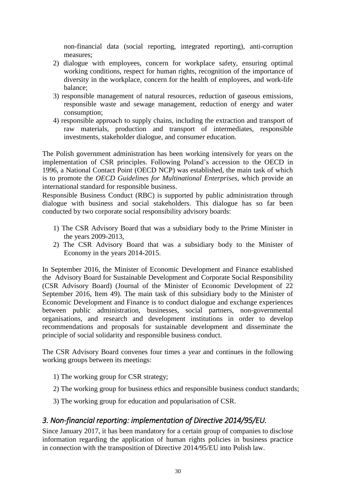non-financial data (social reporting, integrated reporting), anti-corruption measures;

- 2) dialogue with employees, concern for workplace safety, ensuring optimal working conditions, respect for human rights, recognition of the importance of diversity in the workplace, concern for the health of employees, and work-life balance;
- 3) responsible management of natural resources, reduction of gaseous emissions, responsible waste and sewage management, reduction of energy and water consumption;
- 4) responsible approach to supply chains, including the extraction and transport of raw materials, production and transport of intermediates, responsible investments, stakeholder dialogue, and consumer education.

The Polish government administration has been working intensively for years on the implementation of CSR principles. Following Poland's accession to the OECD in 1996, a National Contact Point (OECD NCP) was established, the main task of which is to promote the *OECD Guidelines for Multinational Enterprises*, which provide an international standard for responsible business.

Responsible Business Conduct (RBC) is supported by public administration through dialogue with business and social stakeholders. This dialogue has so far been conducted by two corporate social responsibility advisory boards:

- 1) The CSR Advisory Board that was a subsidiary body to the Prime Minister in the years 2009-2013,
- 2) The CSR Advisory Board that was a subsidiary body to the Minister of Economy in the years 2014-2015.

In September 2016, the Minister of Economic Development and Finance established the Advisory Board for Sustainable Development and Corporate Social Responsibility (CSR Advisory Board) (Journal of the Minister of Economic Development of 22 September 2016, Item 49). The main task of this subsidiary body to the Minister of Economic Development and Finance is to conduct dialogue and exchange experiences between public administration, businesses, social partners, non-governmental organisations, and research and development institutions in order to develop recommendations and proposals for sustainable development and disseminate the principle of social solidarity and responsible business conduct.

The CSR Advisory Board convenes four times a year and continues in the following working groups between its meetings:

- 1) The working group for CSR strategy;
- 2) The working group for business ethics and responsible business conduct standards;
- 3) The working group for education and popularisation of CSR.

## <span id="page-29-0"></span>*3. Non-financial reporting: implementation of Directive 2014/95/EU.*

Since January 2017, it has been mandatory for a certain group of companies to disclose information regarding the application of human rights policies in business practice in connection with the transposition of Directive 2014/95/EU into Polish law.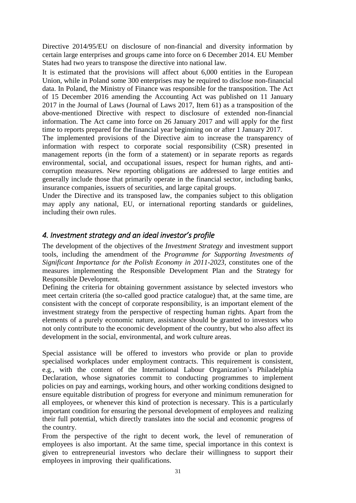Directive 2014/95/EU on disclosure of non-financial and diversity information by certain large enterprises and groups came into force on 6 December 2014. EU Member States had two years to transpose the directive into national law.

It is estimated that the provisions will affect about 6,000 entities in the European Union, while in Poland some 300 enterprises may be required to disclose non-financial data. In Poland, the Ministry of Finance was responsible for the transposition. The Act of 15 December 2016 amending the Accounting Act was published on 11 January 2017 in the Journal of Laws (Journal of Laws 2017, Item 61) as a transposition of the above-mentioned Directive with respect to disclosure of extended non-financial information. The Act came into force on 26 January 2017 and will apply for the first time to reports prepared for the financial year beginning on or after 1 January 2017.

The implemented provisions of the Directive aim to increase the transparency of information with respect to corporate social responsibility (CSR) presented in management reports (in the form of a statement) or in separate reports as regards environmental, social, and occupational issues, respect for human rights, and anticorruption measures. New reporting obligations are addressed to large entities and generally include those that primarily operate in the financial sector, including banks, insurance companies, issuers of securities, and large capital groups.

Under the Directive and its transposed law, the companies subject to this obligation may apply any national, EU, or international reporting standards or guidelines, including their own rules.

## <span id="page-30-0"></span>*4. Investment strategy and an ideal investor's profile*

The development of the objectives of the *Investment Strategy* and investment support tools, including the amendment of the *Programme for Supporting Investments of Significant Importance for the Polish Economy in 2011-2023*, constitutes one of the measures implementing the Responsible Development Plan and the Strategy for Responsible Development*.* 

Defining the criteria for obtaining government assistance by selected investors who meet certain criteria (the so-called good practice catalogue) that, at the same time, are consistent with the concept of corporate responsibility, is an important element of the investment strategy from the perspective of respecting human rights. Apart from the elements of a purely economic nature, assistance should be granted to investors who not only contribute to the economic development of the country, but who also affect its development in the social, environmental, and work culture areas.

Special assistance will be offered to investors who provide or plan to provide specialised workplaces under employment contracts. This requirement is consistent, e.g., with the content of the International Labour Organization's Philadelphia Declaration, whose signatories commit to conducting programmes to implement policies on pay and earnings, working hours, and other working conditions designed to ensure equitable distribution of progress for everyone and minimum remuneration for all employees, or whenever this kind of protection is necessary. This is a particularly important condition for ensuring the personal development of employees and realizing their full potential, which directly translates into the social and economic progress of the country.

From the perspective of the right to decent work, the level of remuneration of employees is also important. At the same time, special importance in this context is given to entrepreneurial investors who declare their willingness to support their employees in improving their qualifications.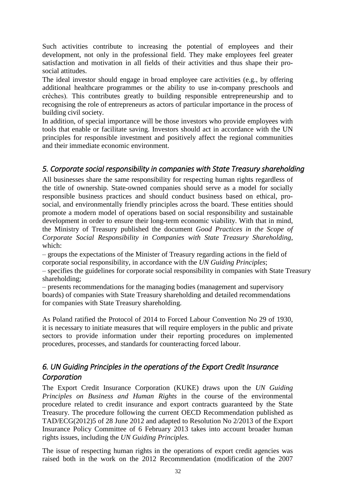Such activities contribute to increasing the potential of employees and their development, not only in the professional field. They make employees feel greater satisfaction and motivation in all fields of their activities and thus shape their prosocial attitudes.

The ideal investor should engage in broad employee care activities (e.g., by offering additional healthcare programmes or the ability to use in-company preschools and crèches). This contributes greatly to building responsible entrepreneurship and to recognising the role of entrepreneurs as actors of particular importance in the process of building civil society.

In addition, of special importance will be those investors who provide employees with tools that enable or facilitate saving. Investors should act in accordance with the UN principles for responsible investment and positively affect the regional communities and their immediate economic environment.

## <span id="page-31-0"></span>*5. Corporate social responsibility in companies with State Treasury shareholding*

All businesses share the same responsibility for respecting human rights regardless of the title of ownership. State-owned companies should serve as a model for socially responsible business practices and should conduct business based on ethical, prosocial, and environmentally friendly principles across the board. These entities should promote a modern model of operations based on social responsibility and sustainable development in order to ensure their long-term economic viability. With that in mind, the Ministry of Treasury published the document *Good Practices in the Scope of Corporate Social Responsibility in Companies with State Treasury Shareholding*, which:

– groups the expectations of the Minister of Treasury regarding actions in the field of corporate social responsibility, in accordance with the *UN Guiding Principles*;

– specifies the guidelines for corporate social responsibility in companies with State Treasury shareholding;

– presents recommendations for the managing bodies (management and supervisory boards) of companies with State Treasury shareholding and detailed recommendations for companies with State Treasury shareholding.

As Poland ratified the Protocol of 2014 to Forced Labour Convention No 29 of 1930, it is necessary to initiate measures that will require employers in the public and private sectors to provide information under their reporting procedures on implemented procedures, processes, and standards for counteracting forced labour.

## <span id="page-31-1"></span>*6. UN Guiding Principles in the operations of the Export Credit Insurance Corporation*

The Export Credit Insurance Corporation (KUKE) draws upon the *UN Guiding Principles on Business and Human Rights* in the course of the environmental procedure related to credit insurance and export contracts guaranteed by the State Treasury. The procedure following the current OECD Recommendation published as TAD/ECG(2012)5 of 28 June 2012 and adapted to Resolution No 2/2013 of the Export Insurance Policy Committee of 6 February 2013 takes into account broader human rights issues, including the *UN Guiding Principles.*

The issue of respecting human rights in the operations of export credit agencies was raised both in the work on the 2012 Recommendation (modification of the 2007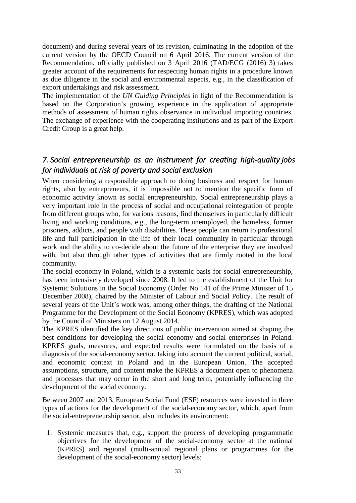document) and during several years of its revision, culminating in the adoption of the current version by the OECD Council on 6 April 2016. The current version of the Recommendation, officially published on 3 April 2016 (TAD/ECG (2016) 3) takes greater account of the requirements for respecting human rights in a procedure known as due diligence in the social and environmental aspects, e.g., in the classification of export undertakings and risk assessment.

The implementation of the *UN Guiding Principles* in light of the Recommendation is based on the Corporation's growing experience in the application of appropriate methods of assessment of human rights observance in individual importing countries. The exchange of experience with the cooperating institutions and as part of the Export Credit Group is a great help.

## <span id="page-32-0"></span>*7. Social entrepreneurship as an instrument for creating high-quality jobs for individuals at risk of poverty and social exclusion*

When considering a responsible approach to doing business and respect for human rights, also by entrepreneurs, it is impossible not to mention the specific form of economic activity known as social entrepreneurship. Social entrepreneurship plays a very important role in the process of social and occupational reintegration of people from different groups who, for various reasons, find themselves in particularly difficult living and working conditions, e.g., the long-term unemployed, the homeless, former prisoners, addicts, and people with disabilities. These people can return to professional life and full participation in the life of their local community in particular through work and the ability to co-decide about the future of the enterprise they are involved with, but also through other types of activities that are firmly rooted in the local community.

The social economy in Poland, which is a systemic basis for social entrepreneurship, has been intensively developed since 2008. It led to the establishment of the Unit for Systemic Solutions in the Social Economy (Order No 141 of the Prime Minister of 15 December 2008), chaired by the Minister of Labour and Social Policy. The result of several years of the Unit's work was, among other things, the drafting of the National Programme for the Development of the Social Economy (KPRES), which was adopted by the Council of Ministers on 12 August 2014.

The KPRES identified the key directions of public intervention aimed at shaping the best conditions for developing the social economy and social enterprises in Poland. KPRES goals, measures, and expected results were formulated on the basis of a diagnosis of the social-economy sector, taking into account the current political, social, and economic context in Poland and in the European Union. The accepted assumptions, structure, and content make the KPRES a document open to phenomena and processes that may occur in the short and long term, potentially influencing the development of the social economy.

Between 2007 and 2013, European Social Fund (ESF) resources were invested in three types of actions for the development of the social-economy sector, which, apart from the social-entrepreneurship sector, also includes its environment:

1. Systemic measures that, e.g., support the process of developing programmatic objectives for the development of the social-economy sector at the national (KPRES) and regional (multi-annual regional plans or programmes for the development of the social-economy sector) levels;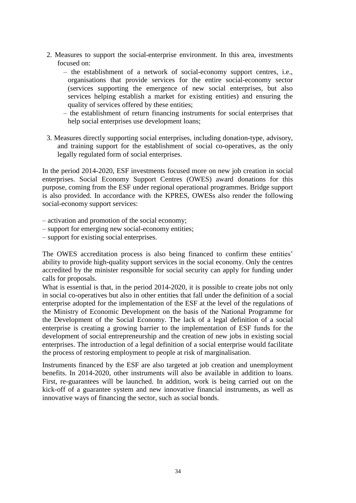- 2. Measures to support the social-enterprise environment. In this area, investments focused on:
	- the establishment of a network of social-economy support centres, i.e., organisations that provide services for the entire social-economy sector (services supporting the emergence of new social enterprises, but also services helping establish a market for existing entities) and ensuring the quality of services offered by these entities;
	- the establishment of return financing instruments for social enterprises that help social enterprises use development loans;
- 3. Measures directly supporting social enterprises, including donation-type, advisory, and training support for the establishment of social co-operatives, as the only legally regulated form of social enterprises.

In the period 2014-2020, ESF investments focused more on new job creation in social enterprises. Social Economy Support Centres (OWES) award donations for this purpose, coming from the ESF under regional operational programmes. Bridge support is also provided. In accordance with the KPRES, OWESs also render the following social-economy support services:

- activation and promotion of the social economy;
- support for emerging new social-economy entities;
- support for existing social enterprises.

The OWES accreditation process is also being financed to confirm these entities' ability to provide high-quality support services in the social economy. Only the centres accredited by the minister responsible for social security can apply for funding under calls for proposals.

What is essential is that, in the period 2014-2020, it is possible to create jobs not only in social co-operatives but also in other entities that fall under the definition of a social enterprise adopted for the implementation of the ESF at the level of the regulations of the Ministry of Economic Development on the basis of the National Programme for the Development of the Social Economy. The lack of a legal definition of a social enterprise is creating a growing barrier to the implementation of ESF funds for the development of social entrepreneurship and the creation of new jobs in existing social enterprises. The introduction of a legal definition of a social enterprise would facilitate the process of restoring employment to people at risk of marginalisation.

Instruments financed by the ESF are also targeted at job creation and unemployment benefits. In 2014-2020, other instruments will also be available in addition to loans. First, re-guarantees will be launched. In addition, work is being carried out on the kick-off of a guarantee system and new innovative financial instruments, as well as innovative ways of financing the sector, such as social bonds.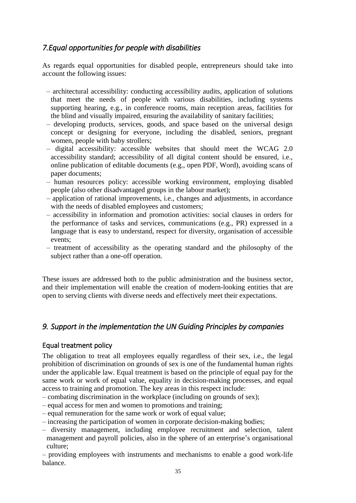## <span id="page-34-0"></span>*7.Equal opportunities for people with disabilities*

As regards equal opportunities for disabled people, entrepreneurs should take into account the following issues:

- architectural accessibility: conducting accessibility audits, application of solutions that meet the needs of people with various disabilities, including systems supporting hearing, e.g., in conference rooms, main reception areas, facilities for the blind and visually impaired, ensuring the availability of sanitary facilities;
- developing products, services, goods, and space based on the universal design concept or designing for everyone, including the disabled, seniors, pregnant women, people with baby strollers;
- digital accessibility: accessible websites that should meet the WCAG 2.0 accessibility standard; accessibility of all digital content should be ensured, i.e., online publication of editable documents (e.g., open PDF, Word), avoiding scans of paper documents;
- human resources policy: accessible working environment, employing disabled people (also other disadvantaged groups in the labour market);
- application of rational improvements, i.e., changes and adjustments, in accordance with the needs of disabled employees and customers:
- accessibility in information and promotion activities: social clauses in orders for the performance of tasks and services, communications (e.g., PR) expressed in a language that is easy to understand, respect for diversity, organisation of accessible events;
- treatment of accessibility as the operating standard and the philosophy of the subject rather than a one-off operation.

These issues are addressed both to the public administration and the business sector, and their implementation will enable the creation of modern-looking entities that are open to serving clients with diverse needs and effectively meet their expectations.

## <span id="page-34-1"></span>*9. Support in the implementation the UN Guiding Principles by companies*

## <span id="page-34-2"></span>Equal treatment policy

The obligation to treat all employees equally regardless of their sex, i.e., the legal prohibition of discrimination on grounds of sex is one of the fundamental human rights under the applicable law. Equal treatment is based on the principle of equal pay for the same work or work of equal value, equality in decision-making processes, and equal access to training and promotion. The key areas in this respect include:

- combating discrimination in the workplace (including on grounds of sex);
- equal access for men and women to promotions and training;
- equal remuneration for the same work or work of equal value;
- increasing the participation of women in corporate decision-making bodies;
- diversity management, including employee recruitment and selection, talent management and payroll policies, also in the sphere of an enterprise's organisational culture;
- providing employees with instruments and mechanisms to enable a good work-life balance.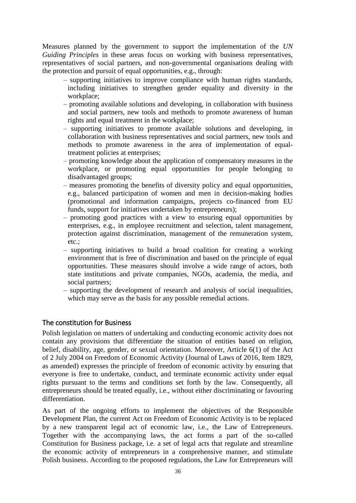Measures planned by the government to support the implementation of the *UN Guiding Principles* in these areas focus on working with business representatives, representatives of social partners, and non-governmental organisations dealing with the protection and pursuit of equal opportunities, e.g., through:

- supporting initiatives to improve compliance with human rights standards, including initiatives to strengthen gender equality and diversity in the workplace;
- promoting available solutions and developing, in collaboration with business and social partners, new tools and methods to promote awareness of human rights and equal treatment in the workplace;
- supporting initiatives to promote available solutions and developing, in collaboration with business representatives and social partners, new tools and methods to promote awareness in the area of implementation of equaltreatment policies at enterprises;
- promoting knowledge about the application of compensatory measures in the workplace, or promoting equal opportunities for people belonging to disadvantaged groups;
- measures promoting the benefits of diversity policy and equal opportunities, e.g., balanced participation of women and men in decision-making bodies (promotional and information campaigns, projects co-financed from EU funds, support for initiatives undertaken by entrepreneurs);
- promoting good practices with a view to ensuring equal opportunities by enterprises, e.g., in employee recruitment and selection, talent management, protection against discrimination, management of the remuneration system, etc.;
- supporting initiatives to build a broad coalition for creating a working environment that is free of discrimination and based on the principle of equal opportunities. These measures should involve a wide range of actors, both state institutions and private companies, NGOs, academia, the media, and social partners;
- supporting the development of research and analysis of social inequalities, which may serve as the basis for any possible remedial actions.

## <span id="page-35-0"></span>The constitution for Business

Polish legislation on matters of undertaking and conducting economic activity does not contain any provisions that differentiate the situation of entities based on religion, belief, disability, age, gender, or sexual orientation. Moreover, Article 6(1) of the Act of 2 July 2004 on Freedom of Economic Activity (Journal of Laws of 2016, Item 1829, as amended) expresses the principle of freedom of economic activity by ensuring that everyone is free to undertake, conduct, and terminate economic activity under equal rights pursuant to the terms and conditions set forth by the law. Consequently, all entrepreneurs should be treated equally, i.e., without either discriminating or favouring differentiation.

As part of the ongoing efforts to implement the objectives of the Responsible Development Plan, the current Act on Freedom of Economic Activity is to be replaced by a new transparent legal act of economic law, i.e., the Law of Entrepreneurs. Together with the accompanying laws, the act forms a part of the so-called Constitution for Business package, i.e. a set of legal acts that regulate and streamline the economic activity of entrepreneurs in a comprehensive manner, and stimulate Polish business. According to the proposed regulations, the Law for Entrepreneurs will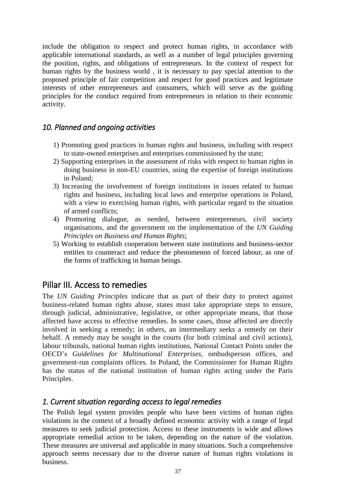include the obligation to respect and protect human rights, in accordance with applicable international standards, as well as a number of legal principles governing the position, rights, and obligations of entrepreneurs. In the context of respect for human rights by the business world , it is necessary to pay special attention to the proposed principle of fair competition and respect for good practices and legitimate interests of other entrepreneurs and consumers, which will serve as the guiding principles for the conduct required from entrepreneurs in relation to their economic activity.

## <span id="page-36-0"></span>*10. Planned and ongoing activities*

- 1) Promoting good practices in human rights and business, including with respect to state-owned enterprises and enterprises commissioned by the state;
- 2) Supporting enterprises in the assessment of risks with respect to human rights in doing business in non-EU countries, using the expertise of foreign institutions in Poland;
- 3) Increasing the involvement of foreign institutions in issues related to human rights and business, including local laws and enterprise operations in Poland, with a view to exercising human rights, with particular regard to the situation of armed conflicts;
- 4) Promoting dialogue, as needed, between entrepreneurs, civil society organisations, and the government on the implementation of the *UN Guiding Principles on Business and Human Rights*;
- 5) Working to establish cooperation between state institutions and business-sector entities to counteract and reduce the phenomenon of forced labour, as one of the forms of trafficking in human beings.

## <span id="page-36-1"></span>Pillar III. Access to remedies

The *UN Guiding Principles* indicate that as part of their duty to protect against business-related human rights abuse, states must take appropriate steps to ensure, through judicial, administrative, legislative, or other appropriate means, that those affected have access to effective remedies. In some cases, those affected are directly involved in seeking a remedy; in others, an intermediary seeks a remedy on their behalf. A remedy may be sought in the courts (for both criminal and civil actions), labour tribunals, national human rights institutions, National Contact Points under the OECD's *Guidelines for Multinational Enterprises*, ombudsperson offices, and government-run complaints offices. In Poland, the Commissioner for Human Rights has the status of the national institution of human rights acting under the Paris Principles.

## <span id="page-36-2"></span>*1. Current situation regarding access to legal remedies*

The Polish legal system provides people who have been victims of human rights violations in the context of a broadly defined economic activity with a range of legal measures to seek judicial protection. Access to these instruments is wide and allows appropriate remedial action to be taken, depending on the nature of the violation. These measures are universal and applicable in many situations. Such a comprehensive approach seems necessary due to the diverse nature of human rights violations in business.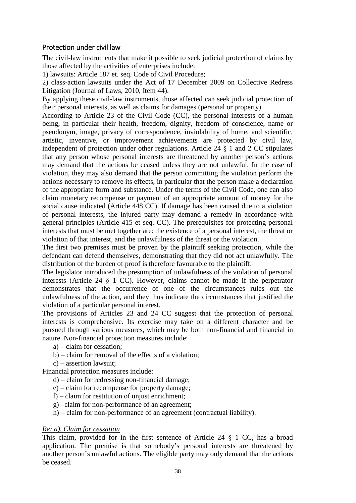### <span id="page-37-0"></span>Protection under civil law

The civil-law instruments that make it possible to seek judicial protection of claims by those affected by the activities of enterprises include:

1) lawsuits: Article 187 et. seq. Code of Civil Procedure;

2) class-action lawsuits under the Act of 17 December 2009 on Collective Redress Litigation (Journal of Laws, 2010, Item 44).

By applying these civil-law instruments, those affected can seek judicial protection of their personal interests, as well as claims for damages (personal or property).

According to Article 23 of the Civil Code (CC), the personal interests of a human being, in particular their health, freedom, dignity, freedom of conscience, name or pseudonym, image, privacy of correspondence, inviolability of home, and scientific, artistic, inventive, or improvement achievements are protected by civil law, independent of protection under other regulations. Article 24 § 1 and 2 CC stipulates that any person whose personal interests are threatened by another person's actions may demand that the actions be ceased unless they are not unlawful. In the case of violation, they may also demand that the person committing the violation perform the actions necessary to remove its effects, in particular that the person make a declaration of the appropriate form and substance. Under the terms of the Civil Code, one can also claim monetary recompense or payment of an appropriate amount of money for the social cause indicated (Article 448 CC). If damage has been caused due to a violation of personal interests, the injured party may demand a remedy in accordance with general principles (Article 415 et seq. CC). The prerequisites for protecting personal interests that must be met together are: the existence of a personal interest, the threat or violation of that interest, and the unlawfulness of the threat or the violation.

The first two premises must be proven by the plaintiff seeking protection, while the defendant can defend themselves, demonstrating that they did not act unlawfully. The distribution of the burden of proof is therefore favourable to the plaintiff.

The legislator introduced the presumption of unlawfulness of the violation of personal interests (Article 24 § 1 CC). However, claims cannot be made if the perpetrator demonstrates that the occurrence of one of the circumstances rules out the unlawfulness of the action, and they thus indicate the circumstances that justified the violation of a particular personal interest.

The provisions of Articles 23 and 24 CC suggest that the protection of personal interests is comprehensive. Its exercise may take on a different character and be pursued through various measures, which may be both non-financial and financial in nature. Non-financial protection measures include:

- a) claim for cessation;
- b) claim for removal of the effects of a violation;
- c) assertion lawsuit;

Financial protection measures include:

- d) claim for redressing non-financial damage;
- e) claim for recompense for property damage;
- f) claim for restitution of unjust enrichment;
- g) –claim for non-performance of an agreement;
- h) claim for non-performance of an agreement (contractual liability).

### *Re: a). Claim for cessation*

This claim, provided for in the first sentence of Article 24 § 1 CC, has a broad application. The premise is that somebody's personal interests are threatened by another person's unlawful actions. The eligible party may only demand that the actions be ceased.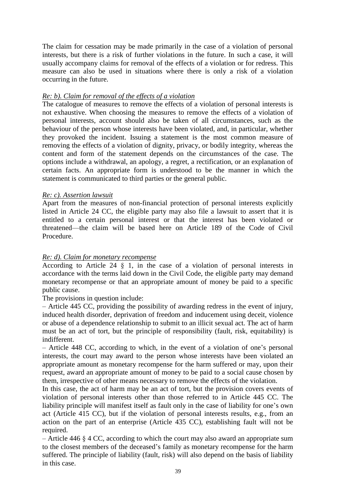The claim for cessation may be made primarily in the case of a violation of personal interests, but there is a risk of further violations in the future. In such a case, it will usually accompany claims for removal of the effects of a violation or for redress. This measure can also be used in situations where there is only a risk of a violation occurring in the future.

### *Re: b). Claim for removal of the effects of a violation*

The catalogue of measures to remove the effects of a violation of personal interests is not exhaustive. When choosing the measures to remove the effects of a violation of personal interests, account should also be taken of all circumstances, such as the behaviour of the person whose interests have been violated, and, in particular, whether they provoked the incident. Issuing a statement is the most common measure of removing the effects of a violation of dignity, privacy, or bodily integrity, whereas the content and form of the statement depends on the circumstances of the case. The options include a withdrawal, an apology, a regret, a rectification, or an explanation of certain facts. An appropriate form is understood to be the manner in which the statement is communicated to third parties or the general public.

### *Re: c). Assertion lawsuit*

Apart from the measures of non-financial protection of personal interests explicitly listed in Article 24 CC, the eligible party may also file a lawsuit to assert that it is entitled to a certain personal interest or that the interest has been violated or threatened—the claim will be based here on Article 189 of the Code of Civil Procedure.

### *Re: d). Claim for monetary recompense*

According to Article 24 § 1, in the case of a violation of personal interests in accordance with the terms laid down in the Civil Code, the eligible party may demand monetary recompense or that an appropriate amount of money be paid to a specific public cause.

The provisions in question include:

– Article 445 CC, providing the possibility of awarding redress in the event of injury, induced health disorder, deprivation of freedom and inducement using deceit, violence or abuse of a dependence relationship to submit to an illicit sexual act. The act of harm must be an act of tort, but the principle of responsibility (fault, risk, equitability) is indifferent.

– Article 448 CC, according to which, in the event of a violation of one's personal interests, the court may award to the person whose interests have been violated an appropriate amount as monetary recompense for the harm suffered or may, upon their request, award an appropriate amount of money to be paid to a social cause chosen by them, irrespective of other means necessary to remove the effects of the violation.

In this case, the act of harm may be an act of tort, but the provision covers events of violation of personal interests other than those referred to in Article 445 CC. The liability principle will manifest itself as fault only in the case of liability for one's own act (Article 415 CC), but if the violation of personal interests results, e.g., from an action on the part of an enterprise (Article 435 CC), establishing fault will not be required.

– Article 446 § 4 CC, according to which the court may also award an appropriate sum to the closest members of the deceased's family as monetary recompense for the harm suffered. The principle of liability (fault, risk) will also depend on the basis of liability in this case.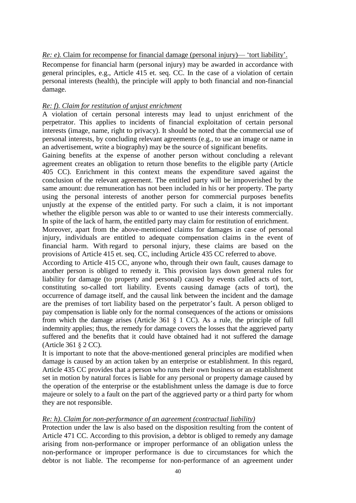*Re: e).* Claim for recompense for financial damage (personal injury)— 'tort liability'.

Recompense for financial harm (personal injury) may be awarded in accordance with general principles, e.g., Article 415 et. seq. CC. In the case of a violation of certain personal interests (health), the principle will apply to both financial and non-financial damage.

### *Re: f). Claim for restitution of unjust enrichment*

A violation of certain personal interests may lead to unjust enrichment of the perpetrator. This applies to incidents of financial exploitation of certain personal interests (image, name, right to privacy). It should be noted that the commercial use of personal interests, by concluding relevant agreements (e.g., to use an image or name in an advertisement, write a biography) may be the source of significant benefits.

Gaining benefits at the expense of another person without concluding a relevant agreement creates an obligation to return those benefits to the eligible party (Article 405 CC). Enrichment in this context means the expenditure saved against the conclusion of the relevant agreement. The entitled party will be impoverished by the same amount: due remuneration has not been included in his or her property. The party using the personal interests of another person for commercial purposes benefits unjustly at the expense of the entitled party. For such a claim, it is not important whether the eligible person was able to or wanted to use their interests commercially. In spite of the lack of harm, the entitled party may claim for restitution of enrichment.

Moreover, apart from the above-mentioned claims for damages in case of personal injury, individuals are entitled to adequate compensation claims in the event of financial harm. With regard to personal injury, these claims are based on the provisions of Article 415 et. seq. CC, including Article 435 CC referred to above.

According to Article 415 CC, anyone who, through their own fault, causes damage to another person is obliged to remedy it. This provision lays down general rules for liability for damage (to property and personal) caused by events called acts of tort, constituting so-called tort liability. Events causing damage (acts of tort), the occurrence of damage itself, and the causal link between the incident and the damage are the premises of tort liability based on the perpetrator's fault. A person obliged to pay compensation is liable only for the normal consequences of the actions or omissions from which the damage arises (Article 361  $\S$  1 CC). As a rule, the principle of full indemnity applies; thus, the remedy for damage covers the losses that the aggrieved party suffered and the benefits that it could have obtained had it not suffered the damage (Article 361 § 2 CC).

It is important to note that the above-mentioned general principles are modified when damage is caused by an action taken by an enterprise or establishment. In this regard, Article 435 CC provides that a person who runs their own business or an establishment set in motion by natural forces is liable for any personal or property damage caused by the operation of the enterprise or the establishment unless the damage is due to force majeure or solely to a fault on the part of the aggrieved party or a third party for whom they are not responsible.

### *Re: h)*. *Claim for non-performance of an agreement (contractual liability)*

Protection under the law is also based on the disposition resulting from the content of Article 471 CC. According to this provision, a debtor is obliged to remedy any damage arising from non-performance or improper performance of an obligation unless the non-performance or improper performance is due to circumstances for which the debtor is not liable. The recompense for non-performance of an agreement under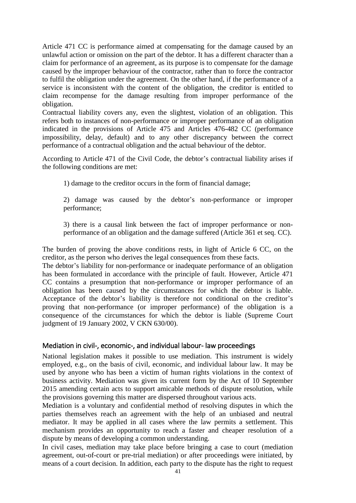Article 471 CC is performance aimed at compensating for the damage caused by an unlawful action or omission on the part of the debtor. It has a different character than a claim for performance of an agreement, as its purpose is to compensate for the damage caused by the improper behaviour of the contractor, rather than to force the contractor to fulfil the obligation under the agreement. On the other hand, if the performance of a service is inconsistent with the content of the obligation, the creditor is entitled to claim recompense for the damage resulting from improper performance of the obligation.

Contractual liability covers any, even the slightest, violation of an obligation. This refers both to instances of non-performance or improper performance of an obligation indicated in the provisions of Article 475 and Articles 476-482 CC (performance impossibility, delay, default) and to any other discrepancy between the correct performance of a contractual obligation and the actual behaviour of the debtor.

According to Article 471 of the Civil Code, the debtor's contractual liability arises if the following conditions are met:

1) damage to the creditor occurs in the form of financial damage;

2) damage was caused by the debtor's non-performance or improper performance;

3) there is a causal link between the fact of improper performance or nonperformance of an obligation and the damage suffered (Article 361 et seq. CC).

The burden of proving the above conditions rests, in light of Article 6 CC, on the creditor, as the person who derives the legal consequences from these facts.

The debtor's liability for non-performance or inadequate performance of an obligation has been formulated in accordance with the principle of fault. However, Article 471 CC contains a presumption that non-performance or improper performance of an obligation has been caused by the circumstances for which the debtor is liable. Acceptance of the debtor's liability is therefore not conditional on the creditor's proving that non-performance (or improper performance) of the obligation is a consequence of the circumstances for which the debtor is liable (Supreme Court judgment of 19 January 2002, V CKN 630/00).

### <span id="page-40-0"></span>Mediation in civil-, economic-, and individual labour- law proceedings

National legislation makes it possible to use mediation. This instrument is widely employed, e.g., on the basis of civil, economic, and individual labour law. It may be used by anyone who has been a victim of human rights violations in the context of business activity. Mediation was given its current form by the Act of 10 September 2015 amending certain acts to support amicable methods of dispute resolution, while the provisions governing this matter are dispersed throughout various acts.

Mediation is a voluntary and confidential method of resolving disputes in which the parties themselves reach an agreement with the help of an unbiased and neutral mediator. It may be applied in all cases where the law permits a settlement. This mechanism provides an opportunity to reach a faster and cheaper resolution of a dispute by means of developing a common understanding.

In civil cases, mediation may take place before bringing a case to court (mediation agreement, out-of-court or pre-trial mediation) or after proceedings were initiated, by means of a court decision. In addition, each party to the dispute has the right to request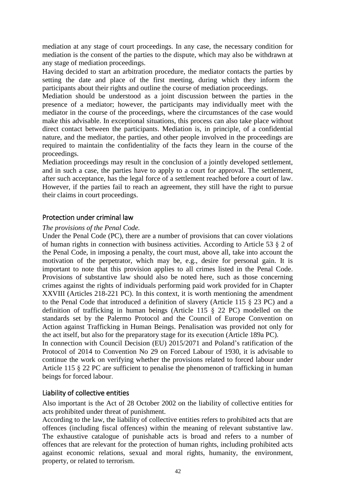mediation at any stage of court proceedings. In any case, the necessary condition for mediation is the consent of the parties to the dispute, which may also be withdrawn at any stage of mediation proceedings.

Having decided to start an arbitration procedure, the mediator contacts the parties by setting the date and place of the first meeting, during which they inform the participants about their rights and outline the course of mediation proceedings.

Mediation should be understood as a joint discussion between the parties in the presence of a mediator; however, the participants may individually meet with the mediator in the course of the proceedings, where the circumstances of the case would make this advisable. In exceptional situations, this process can also take place without direct contact between the participants. Mediation is, in principle, of a confidential nature, and the mediator, the parties, and other people involved in the proceedings are required to maintain the confidentiality of the facts they learn in the course of the proceedings.

Mediation proceedings may result in the conclusion of a jointly developed settlement, and in such a case, the parties have to apply to a court for approval. The settlement, after such acceptance, has the legal force of a settlement reached before a court of law. However, if the parties fail to reach an agreement, they still have the right to pursue their claims in court proceedings.

### <span id="page-41-0"></span>Protection under criminal law

### *The provisions of the Penal Code.*

Under the Penal Code (PC), there are a number of provisions that can cover violations of human rights in connection with business activities. According to Article 53 § 2 of the Penal Code, in imposing a penalty, the court must, above all, take into account the motivation of the perpetrator, which may be, e.g., desire for personal gain. It is important to note that this provision applies to all crimes listed in the Penal Code. Provisions of substantive law should also be noted here, such as those concerning crimes against the rights of individuals performing paid work provided for in Chapter XXVIII (Articles 218-221 PC). In this context, it is worth mentioning the amendment to the Penal Code that introduced a definition of slavery (Article 115 § 23 PC) and a definition of trafficking in human beings (Article 115 § 22 PC) modelled on the standards set by the Palermo Protocol and the Council of Europe Convention on Action against Trafficking in Human Beings. Penalisation was provided not only for the act itself, but also for the preparatory stage for its execution (Article 189a PC). In connection with Council Decision (EU) 2015/2071 and Poland's ratification of the

Protocol of 2014 to Convention No 29 on Forced Labour of 1930, it is advisable to continue the work on verifying whether the provisions related to forced labour under Article 115 § 22 PC are sufficient to penalise the phenomenon of trafficking in human beings for forced labour.

### <span id="page-41-1"></span>Liability of collective entities

Also important is the Act of 28 October 2002 on the liability of collective entities for acts prohibited under threat of punishment.

According to the law, the liability of collective entities refers to prohibited acts that are offences (including fiscal offences) within the meaning of relevant substantive law. The exhaustive catalogue of punishable acts is broad and refers to a number of offences that are relevant for the protection of human rights, including prohibited acts against economic relations, sexual and moral rights, humanity, the environment, property, or related to terrorism.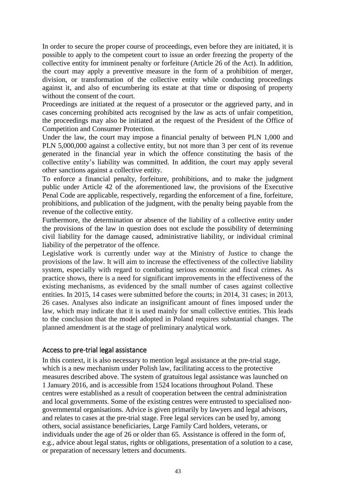In order to secure the proper course of proceedings, even before they are initiated, it is possible to apply to the competent court to issue an order freezing the property of the collective entity for imminent penalty or forfeiture (Article 26 of the Act). In addition, the court may apply a preventive measure in the form of a prohibition of merger, division, or transformation of the collective entity while conducting proceedings against it, and also of encumbering its estate at that time or disposing of property without the consent of the court.

Proceedings are initiated at the request of a prosecutor or the aggrieved party, and in cases concerning prohibited acts recognised by the law as acts of unfair competition, the proceedings may also be initiated at the request of the President of the Office of Competition and Consumer Protection.

Under the law, the court may impose a financial penalty of between PLN 1,000 and PLN 5,000,000 against a collective entity, but not more than 3 per cent of its revenue generated in the financial year in which the offence constituting the basis of the collective entity's liability was committed. In addition, the court may apply several other sanctions against a collective entity.

To enforce a financial penalty, forfeiture, prohibitions, and to make the judgment public under Article 42 of the aforementioned law, the provisions of the Executive Penal Code are applicable, respectively, regarding the enforcement of a fine, forfeiture, prohibitions, and publication of the judgment, with the penalty being payable from the revenue of the collective entity.

Furthermore, the determination or absence of the liability of a collective entity under the provisions of the law in question does not exclude the possibility of determining civil liability for the damage caused, administrative liability, or individual criminal liability of the perpetrator of the offence.

Legislative work is currently under way at the Ministry of Justice to change the provisions of the law. It will aim to increase the effectiveness of the collective liability system, especially with regard to combating serious economic and fiscal crimes. As practice shows, there is a need for significant improvements in the effectiveness of the existing mechanisms, as evidenced by the small number of cases against collective entities. In 2015, 14 cases were submitted before the courts; in 2014, 31 cases; in 2013, 26 cases. Analyses also indicate an insignificant amount of fines imposed under the law, which may indicate that it is used mainly for small collective entities. This leads to the conclusion that the model adopted in Poland requires substantial changes. The planned amendment is at the stage of preliminary analytical work.

### <span id="page-42-0"></span>Access to pre-trial legal assistance

In this context, it is also necessary to mention legal assistance at the pre-trial stage, which is a new mechanism under Polish law, facilitating access to the protective measures described above. The system of gratuitous legal assistance was launched on 1 January 2016, and is accessible from 1524 locations throughout Poland. These centres were established as a result of cooperation between the central administration and local governments. Some of the existing centres were entrusted to specialised nongovernmental organisations. Advice is given primarily by lawyers and legal advisors, and relates to cases at the pre-trial stage. Free legal services can be used by, among others, social assistance beneficiaries, Large Family Card holders, veterans, or individuals under the age of 26 or older than 65. Assistance is offered in the form of, e.g., advice about legal status, rights or obligations, presentation of a solution to a case, or preparation of necessary letters and documents.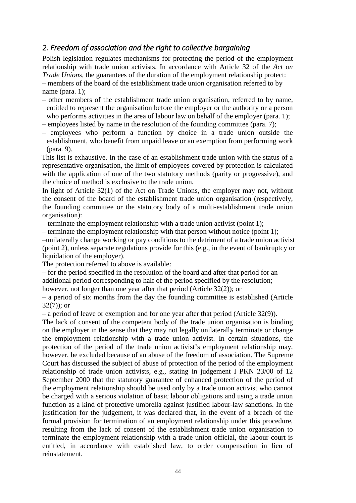## <span id="page-43-0"></span>*2. Freedom of association and the right to collective bargaining*

Polish legislation regulates mechanisms for protecting the period of the employment relationship with trade union activists. In accordance with Article 32 of the *Act on Trade Unions,* the guarantees of the duration of the employment relationship protect: – members of the board of the establishment trade union organisation referred to by name (para. 1);

– other members of the establishment trade union organisation, referred to by name, entitled to represent the organisation before the employer or the authority or a person who performs activities in the area of labour law on behalf of the employer (para. 1);

– employees listed by name in the resolution of the founding committee (para. 7);

– employees who perform a function by choice in a trade union outside the establishment, who benefit from unpaid leave or an exemption from performing work (para. 9).

 This list is exhaustive. In the case of an establishment trade union with the status of a representative organisation, the limit of employees covered by protection is calculated with the application of one of the two statutory methods (parity or progressive), and the choice of method is exclusive to the trade union.

In light of Article 32(1) of the Act on Trade Unions, the employer may not, without the consent of the board of the establishment trade union organisation (respectively, the founding committee or the statutory body of a multi-establishment trade union organisation):

– terminate the employment relationship with a trade union activist (point 1);

– terminate the employment relationship with that person without notice (point 1);

–unilaterally change working or pay conditions to the detriment of a trade union activist (point 2), unless separate regulations provide for this (e.g., in the event of bankruptcy or liquidation of the employer).

The protection referred to above is available:

– for the period specified in the resolution of the board and after that period for an additional period corresponding to half of the period specified by the resolution; however, not longer than one year after that period (Article 32(2)); or

– a period of six months from the day the founding committee is established (Article  $32(7)$ ; or

– a period of leave or exemption and for one year after that period (Article 32(9)).

The lack of consent of the competent body of the trade union organisation is binding on the employer in the sense that they may not legally unilaterally terminate or change the employment relationship with a trade union activist. In certain situations, the protection of the period of the trade union activist's employment relationship may, however, be excluded because of an abuse of the freedom of association. The Supreme Court has discussed the subject of abuse of protection of the period of the employment relationship of trade union activists, e.g., stating in judgement I PKN 23/00 of 12 September 2000 that the statutory guarantee of enhanced protection of the period of the employment relationship should be used only by a trade union activist who cannot be charged with a serious violation of basic labour obligations and using a trade union function as a kind of protective umbrella against justified labour-law sanctions. In the justification for the judgement, it was declared that, in the event of a breach of the formal provision for termination of an employment relationship under this procedure, resulting from the lack of consent of the establishment trade union organisation to terminate the employment relationship with a trade union official, the labour court is entitled, in accordance with established law, to order compensation in lieu of reinstatement.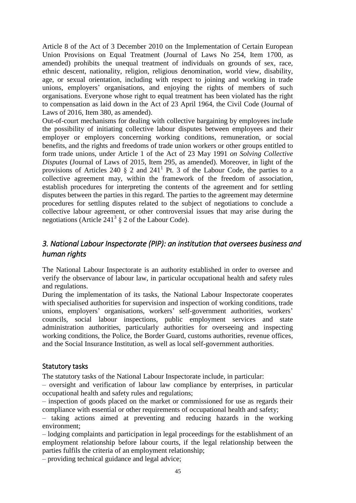Article 8 of the Act of 3 December 2010 on the Implementation of Certain European Union Provisions on Equal Treatment (Journal of Laws No 254, Item 1700, as amended) prohibits the unequal treatment of individuals on grounds of sex, race, ethnic descent, nationality, religion, religious denomination, world view, disability, age, or sexual orientation, including with respect to joining and working in trade unions, employers' organisations, and enjoying the rights of members of such organisations. Everyone whose right to equal treatment has been violated has the right to compensation as laid down in the Act of 23 April 1964, the Civil Code (Journal of Laws of 2016, Item 380, as amended).

Out-of-court mechanisms for dealing with collective bargaining by employees include the possibility of initiating collective labour disputes between employees and their employer or employers concerning working conditions, remuneration, or social benefits, and the rights and freedoms of trade union workers or other groups entitled to form trade unions, under Article 1 of the Act of 23 May 1991 *on Solving Collective Disputes* (Journal of Laws of 2015, Item 295, as amended). Moreover, in light of the provisions of Articles 240  $\S$  2 and 241<sup>1</sup> Pt. 3 of the Labour Code, the parties to a collective agreement may, within the framework of the freedom of association, establish procedures for interpreting the contents of the agreement and for settling disputes between the parties in this regard. The parties to the agreement may determine procedures for settling disputes related to the subject of negotiations to conclude a collective labour agreement, or other controversial issues that may arise during the negotiations (Article 241<sup>3</sup>  $\S$  2 of the Labour Code).

## <span id="page-44-0"></span>*3. National Labour Inspectorate (PIP): an institution that oversees business and human rights*

The National Labour Inspectorate is an authority established in order to oversee and verify the observance of labour law, in particular occupational health and safety rules and regulations.

During the implementation of its tasks, the National Labour Inspectorate cooperates with specialised authorities for supervision and inspection of working conditions, trade unions, employers' organisations, workers' self-government authorities, workers' councils, social labour inspections, public employment services and state administration authorities, particularly authorities for overseeing and inspecting working conditions, the Police, the Border Guard, customs authorities, revenue offices, and the Social Insurance Institution, as well as local self-government authorities.

### <span id="page-44-1"></span>Statutory tasks

The statutory tasks of the National Labour Inspectorate include, in particular:

– oversight and verification of labour law compliance by enterprises, in particular occupational health and safety rules and regulations;

– inspection of goods placed on the market or commissioned for use as regards their compliance with essential or other requirements of occupational health and safety;

– taking actions aimed at preventing and reducing hazards in the working environment;

– lodging complaints and participation in legal proceedings for the establishment of an employment relationship before labour courts, if the legal relationship between the parties fulfils the criteria of an employment relationship;

– providing technical guidance and legal advice;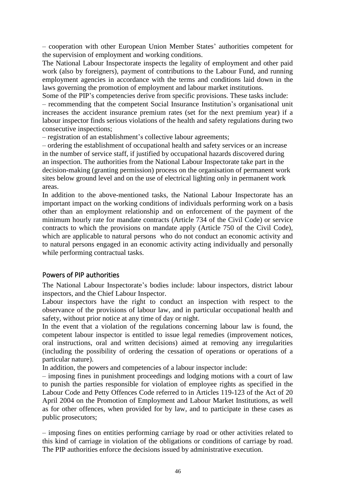– cooperation with other European Union Member States' authorities competent for the supervision of employment and working conditions.

The National Labour Inspectorate inspects the legality of employment and other paid work (also by foreigners), payment of contributions to the Labour Fund, and running employment agencies in accordance with the terms and conditions laid down in the laws governing the promotion of employment and labour market institutions.

Some of the PIP's competencies derive from specific provisions. These tasks include: – recommending that the competent Social Insurance Institution's organisational unit increases the accident insurance premium rates (set for the next premium year) if a labour inspector finds serious violations of the health and safety regulations during two consecutive inspections;

– registration of an establishment's collective labour agreements;

– ordering the establishment of occupational health and safety services or an increase in the number of service staff, if justified by occupational hazards discovered during an inspection. The authorities from the National Labour Inspectorate take part in the decision-making (granting permission) process on the organisation of permanent work sites below ground level and on the use of electrical lighting only in permanent work areas.

In addition to the above-mentioned tasks, the National Labour Inspectorate has an important impact on the working conditions of individuals performing work on a basis other than an employment relationship and on enforcement of the payment of the minimum hourly rate for mandate contracts (Article 734 of the Civil Code) or service contracts to which the provisions on mandate apply (Article 750 of the Civil Code), which are applicable to natural persons who do not conduct an economic activity and to natural persons engaged in an economic activity acting individually and personally while performing contractual tasks.

### <span id="page-45-0"></span>Powers of PIP authorities

The National Labour Inspectorate's bodies include: labour inspectors, district labour inspectors, and the Chief Labour Inspector.

Labour inspectors have the right to conduct an inspection with respect to the observance of the provisions of labour law, and in particular occupational health and safety, without prior notice at any time of day or night.

In the event that a violation of the regulations concerning labour law is found, the competent labour inspector is entitled to issue legal remedies (improvement notices, oral instructions, oral and written decisions) aimed at removing any irregularities (including the possibility of ordering the cessation of operations or operations of a particular nature).

In addition, the powers and competencies of a labour inspector include:

– imposing fines in punishment proceedings and lodging motions with a court of law to punish the parties responsible for violation of employee rights as specified in the Labour Code and Petty Offences Code referred to in Articles 119-123 of the Act of 20 April 2004 on the Promotion of Employment and Labour Market Institutions, as well as for other offences, when provided for by law, and to participate in these cases as public prosecutors;

– imposing fines on entities performing carriage by road or other activities related to this kind of carriage in violation of the obligations or conditions of carriage by road. The PIP authorities enforce the decisions issued by administrative execution.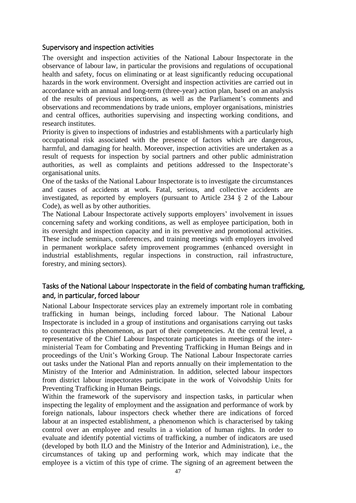### <span id="page-46-0"></span>Supervisory and inspection activities

The oversight and inspection activities of the National Labour Inspectorate in the observance of labour law, in particular the provisions and regulations of occupational health and safety, focus on eliminating or at least significantly reducing occupational hazards in the work environment. Oversight and inspection activities are carried out in accordance with an annual and long-term (three-year) action plan, based on an analysis of the results of previous inspections, as well as the Parliament's comments and observations and recommendations by trade unions, employer organisations, ministries and central offices, authorities supervising and inspecting working conditions, and research institutes.

Priority is given to inspections of industries and establishments with a particularly high occupational risk associated with the presence of factors which are dangerous, harmful, and damaging for health. Moreover, inspection activities are undertaken as a result of requests for inspection by social partners and other public administration authorities, as well as complaints and petitions addressed to the Inspectorate's organisational units.

One of the tasks of the National Labour Inspectorate is to investigate the circumstances and causes of accidents at work. Fatal, serious, and collective accidents are investigated, as reported by employers (pursuant to Article 234 § 2 of the Labour Code), as well as by other authorities.

The National Labour Inspectorate actively supports employers' involvement in issues concerning safety and working conditions, as well as employee participation, both in its oversight and inspection capacity and in its preventive and promotional activities. These include seminars, conferences, and training meetings with employers involved in permanent workplace safety improvement programmes (enhanced oversight in industrial establishments, regular inspections in construction, rail infrastructure, forestry, and mining sectors).

## <span id="page-46-1"></span>Tasks of the National Labour Inspectorate in the field of combating human trafficking, and, in particular, forced labour

National Labour Inspectorate services play an extremely important role in combating trafficking in human beings, including forced labour. The National Labour Inspectorate is included in a group of institutions and organisations carrying out tasks to counteract this phenomenon, as part of their competencies. At the central level, a representative of the Chief Labour Inspectorate participates in meetings of the interministerial Team for Combating and Preventing Trafficking in Human Beings and in proceedings of the Unit's Working Group. The National Labour Inspectorate carries out tasks under the National Plan and reports annually on their implementation to the Ministry of the Interior and Administration. In addition, selected labour inspectors from district labour inspectorates participate in the work of Voivodship Units for Preventing Trafficking in Human Beings.

Within the framework of the supervisory and inspection tasks, in particular when inspecting the legality of employment and the assignation and performance of work by foreign nationals, labour inspectors check whether there are indications of forced labour at an inspected establishment, a phenomenon which is characterised by taking control over an employee and results in a violation of human rights. In order to evaluate and identify potential victims of trafficking, a number of indicators are used (developed by both ILO and the Ministry of the Interior and Administration), i.e., the circumstances of taking up and performing work, which may indicate that the employee is a victim of this type of crime. The signing of an agreement between the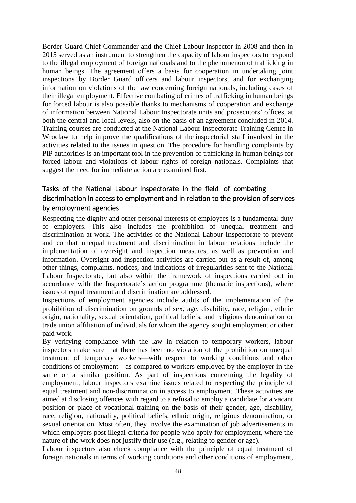Border Guard Chief Commander and the Chief Labour Inspector in 2008 and then in 2015 served as an instrument to strengthen the capacity of labour inspectors to respond to the illegal employment of foreign nationals and to the phenomenon of trafficking in human beings. The agreement offers a basis for cooperation in undertaking joint inspections by Border Guard officers and labour inspectors, and for exchanging information on violations of the law concerning foreign nationals, including cases of their illegal employment. Effective combating of crimes of trafficking in human beings for forced labour is also possible thanks to mechanisms of cooperation and exchange of information between National Labour Inspectorate units and prosecutors' offices, at both the central and local levels, also on the basis of an agreement concluded in 2014. Training courses are conducted at the National Labour Inspectorate Training Centre in Wroclaw to help improve the qualifications of the inspectorial staff involved in the activities related to the issues in question. The procedure for handling complaints by PIP authorities is an important tool in the prevention of trafficking in human beings for forced labour and violations of labour rights of foreign nationals. Complaints that suggest the need for immediate action are examined first.

## <span id="page-47-0"></span>Tasks of the National Labour Inspectorate in the field of combating discrimination in access to employment and in relation to the provision of services by employment agencies

Respecting the dignity and other personal interests of employees is a fundamental duty of employers. This also includes the prohibition of unequal treatment and discrimination at work. The activities of the National Labour Inspectorate to prevent and combat unequal treatment and discrimination in labour relations include the implementation of oversight and inspection measures, as well as prevention and information. Oversight and inspection activities are carried out as a result of, among other things, complaints, notices, and indications of irregularities sent to the National Labour Inspectorate, but also within the framework of inspections carried out in accordance with the Inspectorate's action programme (thematic inspections), where issues of equal treatment and discrimination are addressed.

Inspections of employment agencies include audits of the implementation of the prohibition of discrimination on grounds of sex, age, disability, race, religion, ethnic origin, nationality, sexual orientation, political beliefs, and religious denomination or trade union affiliation of individuals for whom the agency sought employment or other paid work.

By verifying compliance with the law in relation to temporary workers, labour inspectors make sure that there has been no violation of the prohibition on unequal treatment of temporary workers—with respect to working conditions and other conditions of employment—as compared to workers employed by the employer in the same or a similar position. As part of inspections concerning the legality of employment, labour inspectors examine issues related to respecting the principle of equal treatment and non-discrimination in access to employment. These activities are aimed at disclosing offences with regard to a refusal to employ a candidate for a vacant position or place of vocational training on the basis of their gender, age, disability, race, religion, nationality, political beliefs, ethnic origin, religious denomination, or sexual orientation. Most often, they involve the examination of job advertisements in which employers post illegal criteria for people who apply for employment, where the nature of the work does not justify their use (e.g., relating to gender or age).

Labour inspectors also check compliance with the principle of equal treatment of foreign nationals in terms of working conditions and other conditions of employment,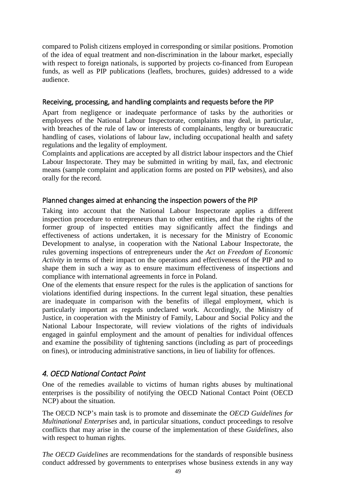compared to Polish citizens employed in corresponding or similar positions. Promotion of the idea of equal treatment and non-discrimination in the labour market, especially with respect to foreign nationals, is supported by projects co-financed from European funds, as well as PIP publications (leaflets, brochures, guides) addressed to a wide audience.

### <span id="page-48-0"></span>Receiving, processing, and handling complaints and requests before the PIP

Apart from negligence or inadequate performance of tasks by the authorities or employees of the National Labour Inspectorate, complaints may deal, in particular, with breaches of the rule of law or interests of complainants, lengthy or bureaucratic handling of cases, violations of labour law, including occupational health and safety regulations and the legality of employment.

Complaints and applications are accepted by all district labour inspectors and the Chief Labour Inspectorate. They may be submitted in writing by mail, fax, and electronic means (sample complaint and application forms are posted on PIP websites), and also orally for the record.

### <span id="page-48-1"></span>Planned changes aimed at enhancing the inspection powers of the PIP

Taking into account that the National Labour Inspectorate applies a different inspection procedure to entrepreneurs than to other entities, and that the rights of the former group of inspected entities may significantly affect the findings and effectiveness of actions undertaken, it is necessary for the Ministry of Economic Development to analyse, in cooperation with the National Labour Inspectorate, the rules governing inspections of entrepreneurs under the *Act on Freedom of Economic Activity* in terms of their impact on the operations and effectiveness of the PIP and to shape them in such a way as to ensure maximum effectiveness of inspections and compliance with international agreements in force in Poland.

One of the elements that ensure respect for the rules is the application of sanctions for violations identified during inspections. In the current legal situation, these penalties are inadequate in comparison with the benefits of illegal employment, which is particularly important as regards undeclared work. Accordingly, the Ministry of Justice, in cooperation with the Ministry of Family, Labour and Social Policy and the National Labour Inspectorate, will review violations of the rights of individuals engaged in gainful employment and the amount of penalties for individual offences and examine the possibility of tightening sanctions (including as part of proceedings on fines), or introducing administrative sanctions, in lieu of liability for offences.

## <span id="page-48-2"></span>*4. OECD National Contact Point*

One of the remedies available to victims of human rights abuses by multinational enterprises is the possibility of notifying the OECD National Contact Point (OECD NCP) about the situation.

The OECD NCP's main task is to promote and disseminate the *OECD Guidelines for Multinational Enterprises* and, in particular situations, conduct proceedings to resolve conflicts that may arise in the course of the implementation of these *Guidelines*, also with respect to human rights.

*The OECD Guidelines* are recommendations for the standards of responsible business conduct addressed by governments to enterprises whose business extends in any way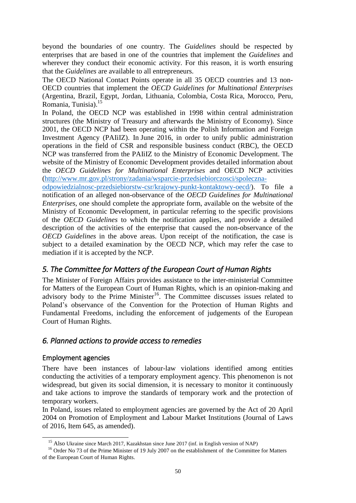beyond the boundaries of one country. The *Guidelines s*hould be respected by enterprises that are based in one of the countries that implement the *Guidelines* and wherever they conduct their economic activity. For this reason, it is worth ensuring that the *Guidelines* are available to all entrepreneurs.

The OECD National Contact Points operate in all 35 OECD countries and 13 non-OECD countries that implement the *OECD Guidelines for Multinational Enterprises* (Argentina, Brazil, Egypt, Jordan, Lithuania, Colombia, Costa Rica, Morocco, Peru, Romania, Tunisia).<sup>15</sup>

In Poland, the OECD NCP was established in 1998 within central administration structures (the Ministry of Treasury and afterwards the Ministry of Economy). Since 2001, the OECD NCP had been operating within the Polish Information and Foreign Investment Agency (PAIiIZ). In June 2016, in order to unify public administration operations in the field of CSR and responsible business conduct (RBC), the OECD NCP was transferred from the PAIiIZ to the Ministry of Economic Development. The website of the Ministry of Economic Development provides detailed information about the *OECD Guidelines for Multinational Enterprises* and OECD NCP activities [\(http://www.mr.gov.pl/strony/zadania/wsparcie-przedsiebiorczosci/spoleczna-](http://www.mr.gov.pl/strony/zadania/wsparcie-przedsiebiorczosci/spoleczna-odpowiedzialnosc-przedsiebiorstw-csr/krajowy-punkt-kontaktowy-oecd/)

[odpowiedzialnosc-przedsiebiorstw-csr/krajowy-punkt-kontaktowy-oecd/\)](http://www.mr.gov.pl/strony/zadania/wsparcie-przedsiebiorczosci/spoleczna-odpowiedzialnosc-przedsiebiorstw-csr/krajowy-punkt-kontaktowy-oecd/). To file a notification of an alleged non-observance of the *OECD Guidelines for Multinational Enterprises,* one should complete the appropriate form, available on the website of the Ministry of Economic Development, in particular referring to the specific provisions of the *OECD Guidelines* to which the notification applies, and provide a detailed description of the activities of the enterprise that caused the non-observance of the *OECD Guidelines* in the above areas. Upon receipt of the notification, the case is subject to a detailed examination by the OECD NCP, which may refer the case to mediation if it is accepted by the NCP.

## <span id="page-49-0"></span>*5. The Committee for Matters of the European Court of Human Rights*

The Minister of Foreign Affairs provides assistance to the inter-ministerial Committee for Matters of the European Court of Human Rights, which is an opinion-making and advisory body to the Prime Minister<sup>16</sup>. The Committee discusses issues related to Poland's observance of the Convention for the Protection of Human Rights and Fundamental Freedoms, including the enforcement of judgements of the European Court of Human Rights.

## <span id="page-49-1"></span>*6. Planned actions to provide access to remedies*

### <span id="page-49-2"></span>Employment agencies

-

There have been instances of labour-law violations identified among entities conducting the activities of a temporary employment agency. This phenomenon is not widespread, but given its social dimension, it is necessary to monitor it continuously and take actions to improve the standards of temporary work and the protection of temporary workers.

In Poland, issues related to employment agencies are governed by the Act of 20 April 2004 on Promotion of Employment and Labour Market Institutions (Journal of Laws of 2016, Item 645, as amended).

<sup>&</sup>lt;sup>15</sup> Also Ukraine since March 2017, Kazakhstan since June 2017 (inf. in English version of NAP)

<sup>&</sup>lt;sup>16</sup> Order No 73 of the Prime Minister of 19 July 2007 on the establishment of the Committee for Matters of the European Court of Human Rights.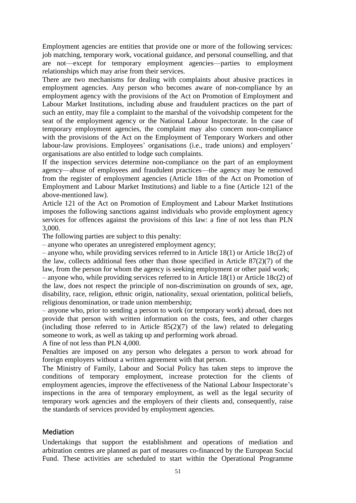Employment agencies are entities that provide one or more of the following services: job matching, temporary work, vocational guidance, and personal counselling, and that are not—except for temporary employment agencies—parties to employment relationships which may arise from their services.

There are two mechanisms for dealing with complaints about abusive practices in employment agencies. Any person who becomes aware of non-compliance by an employment agency with the provisions of the Act on Promotion of Employment and Labour Market Institutions, including abuse and fraudulent practices on the part of such an entity, may file a complaint to the marshal of the voivodship competent for the seat of the employment agency or the National Labour Inspectorate. In the case of temporary employment agencies, the complaint may also concern non-compliance with the provisions of the Act on the Employment of Temporary Workers and other labour-law provisions. Employees' organisations (i.e., trade unions) and employers' organisations are also entitled to lodge such complaints.

If the inspection services determine non-compliance on the part of an employment agency—abuse of employees and fraudulent practices—the agency may be removed from the register of employment agencies (Article 18m of the Act on Promotion of Employment and Labour Market Institutions) and liable to a fine (Article 121 of the above-mentioned law).

Article 121 of the Act on Promotion of Employment and Labour Market Institutions imposes the following sanctions against individuals who provide employment agency services for offences against the provisions of this law: a fine of not less than PLN 3,000.

The following parties are subject to this penalty:

– anyone who operates an unregistered employment agency;

– anyone who, while providing services referred to in Article 18(1) or Article 18c(2) of the law, collects additional fees other than those specified in Article 87(2)(7) of the law, from the person for whom the agency is seeking employment or other paid work;

– anyone who, while providing services referred to in Article 18(1) or Article 18c(2) of the law, does not respect the principle of non-discrimination on grounds of sex, age, disability, race, religion, ethnic origin, nationality, sexual orientation, political beliefs, religious denomination, or trade union membership;

– anyone who, prior to sending a person to work (or temporary work) abroad, does not provide that person with written information on the costs, fees, and other charges (including those referred to in Article  $85(2)(7)$  of the law) related to delegating someone to work, as well as taking up and performing work abroad.

A fine of not less than PLN 4,000.

Penalties are imposed on any person who delegates a person to work abroad for foreign employers without a written agreement with that person.

The Ministry of Family, Labour and Social Policy has taken steps to improve the conditions of temporary employment, increase protection for the clients of employment agencies, improve the effectiveness of the National Labour Inspectorate's inspections in the area of temporary employment, as well as the legal security of temporary work agencies and the employers of their clients and, consequently, raise the standards of services provided by employment agencies.

### <span id="page-50-0"></span>**Mediation**

Undertakings that support the establishment and operations of mediation and arbitration centres are planned as part of measures co-financed by the European Social Fund. These activities are scheduled to start within the Operational Programme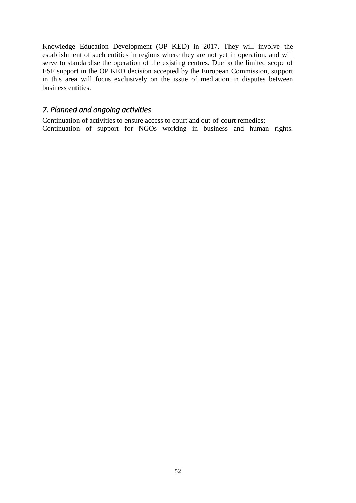Knowledge Education Development (OP KED) in 2017. They will involve the establishment of such entities in regions where they are not yet in operation, and will serve to standardise the operation of the existing centres. Due to the limited scope of ESF support in the OP KED decision accepted by the European Commission, support in this area will focus exclusively on the issue of mediation in disputes between business entities.

## <span id="page-51-0"></span>*7. Planned and ongoing activities*

Continuation of activities to ensure access to court and out-of-court remedies; Continuation of support for NGOs working in business and human rights.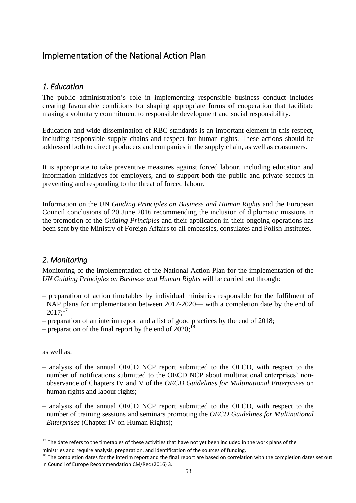## <span id="page-52-0"></span>Implementation of the National Action Plan

## <span id="page-52-1"></span>*1. Education*

The public administration's role in implementing responsible business conduct includes creating favourable conditions for shaping appropriate forms of cooperation that facilitate making a voluntary commitment to responsible development and social responsibility.

Education and wide dissemination of RBC standards is an important element in this respect, including responsible supply chains and respect for human rights. These actions should be addressed both to direct producers and companies in the supply chain, as well as consumers.

It is appropriate to take preventive measures against forced labour, including education and information initiatives for employers, and to support both the public and private sectors in preventing and responding to the threat of forced labour.

Information on the UN *Guiding Principles on Business and Human Rights* and the European Council conclusions of 20 June 2016 recommending the inclusion of diplomatic missions in the promotion of the *Guiding Principles* and their application in their ongoing operations has been sent by the Ministry of Foreign Affairs to all embassies, consulates and Polish Institutes.

## <span id="page-52-2"></span>*2. Monitoring*

Monitoring of the implementation of the National Action Plan for the implementation of the *UN Guiding Principles on Business and Human Rights* will be carried out through:

- preparation of action timetables by individual ministries responsible for the fulfilment of NAP plans for implementation between 2017-2020— with a completion date by the end of  $2017:^{17}$
- preparation of an interim report and a list of good practices by the end of 2018;
- preparation of the final report by the end of  $2020$ ;<sup>18</sup>

as well as:

-

- analysis of the annual OECD NCP report submitted to the OECD, with respect to the number of notifications submitted to the OECD NCP about multinational enterprises' nonobservance of Chapters IV and V of the *OECD Guidelines for Multinational Enterprises* on human rights and labour rights;
- analysis of the annual OECD NCP report submitted to the OECD, with respect to the number of training sessions and seminars promoting the *OECD Guidelines for Multinational Enterprises* (Chapter IV on Human Rights);

 $17$  The date refers to the timetables of these activities that have not vet been included in the work plans of the ministries and require analysis, preparation, and identification of the sources of funding.

 $18$  The completion dates for the interim report and the final report are based on correlation with the completion dates set out in Council of Europe Recommendation CM/Rec (2016) 3.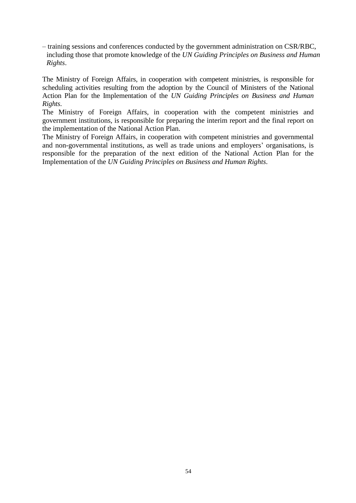– training sessions and conferences conducted by the government administration on CSR/RBC, including those that promote knowledge of the *UN Guiding Principles on Business and Human Rights*.

The Ministry of Foreign Affairs, in cooperation with competent ministries, is responsible for scheduling activities resulting from the adoption by the Council of Ministers of the National Action Plan for the Implementation of the *UN Guiding Principles on Business and Human Rights*.

The Ministry of Foreign Affairs, in cooperation with the competent ministries and government institutions, is responsible for preparing the interim report and the final report on the implementation of the National Action Plan.

The Ministry of Foreign Affairs, in cooperation with competent ministries and governmental and non-governmental institutions, as well as trade unions and employers' organisations, is responsible for the preparation of the next edition of the National Action Plan for the Implementation of the *UN Guiding Principles on Business and Human Rights*.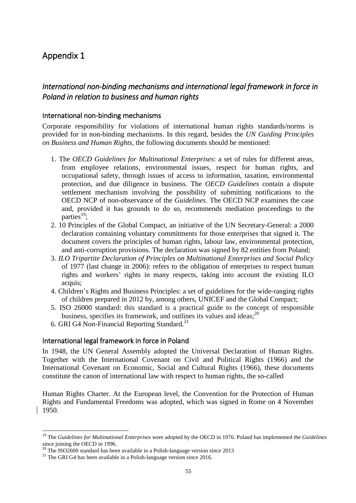## <span id="page-54-0"></span>Appendix 1

## <span id="page-54-1"></span>*International non-binding mechanisms and international legal framework in force in Poland in relation to business and human rights*

### <span id="page-54-2"></span>International non-binding mechanisms

Corporate responsibility for violations of international human rights standards/norms is provided for in non-binding mechanisms. In this regard, besides the *UN Guiding Principles on Business and Human Rights,* the following documents should be mentioned:

- 1. The *OECD Guidelines for Multinational Enterprises*: a set of rules for different areas, from employee relations, environmental issues, respect for human rights, and occupational safety, through issues of access to information, taxation, environmental protection, and due diligence in business. The *OECD Guidelines* contain a dispute settlement mechanism involving the possibility of submitting notifications to the OECD NCP of non-observance of the *Guidelines*. The OECD NCP examines the case and, provided it has grounds to do so, recommends mediation proceedings to the parties<sup>19</sup>;
- 2. 10 Principles of the Global Compact, an initiative of the UN Secretary-General: a 2000 declaration containing voluntary commitments for those enterprises that signed it. The document covers the principles of human rights, labour law, environmental protection, and anti-corruption provisions. The declaration was signed by 82 entities from Poland;
- 3. *ILO Tripartite Declaration of Principles on Multinational Enterprises and Social Policy* of 1977 (last change in 2006): refers to the obligation of enterprises to respect human rights and workers' rights in many respects, taking into account the existing ILO acquis;
- 4. Children's Rights and Business Principles: a set of guidelines for the wide-ranging rights of children prepared in 2012 by, among others, UNICEF and the Global Compact;
- 5. ISO 26000 standard: this standard is a practical guide to the concept of responsible business, specifies its framework, and outlines its values and ideas; $^{20}$
- 6. GRI G4 Non-Financial Reporting Standard.<sup>21</sup>

### <span id="page-54-3"></span>International legal framework in force in Poland

In 1948, the UN General Assembly adopted the Universal Declaration of Human Rights. Together with the International Covenant on Civil and Political Rights (1966) and the International Covenant on Economic, Social and Cultural Rights (1966), these documents constitute the canon of international law with respect to human rights, the so-called

Human Rights Charter. At the European level, the Convention for the Protection of Human Rights and Fundamental Freedoms was adopted, which was signed in Rome on 4 November 1950.

1

<sup>19</sup> The *Guidelines for Multinational Enterprises* were adopted by the OECD in 1976. Poland has implemented the *Guidelines* since joining the OECD in 1996.

<sup>&</sup>lt;sup>20</sup> The ISO2600 standard has been available in a Polish-language version since 2013

<sup>&</sup>lt;sup>21</sup> The GRI G4 has been available in a Polish-language version since 2016.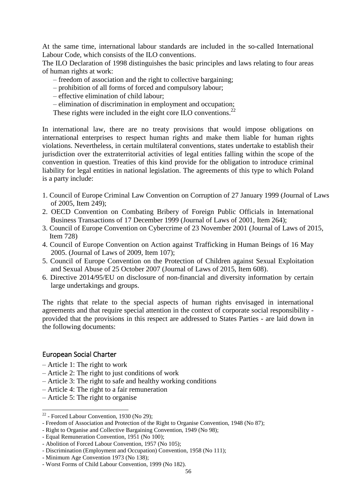At the same time, international labour standards are included in the so-called International Labour Code, which consists of the ILO conventions.

The ILO Declaration of 1998 distinguishes the basic principles and laws relating to four areas of human rights at work:

- freedom of association and the right to collective bargaining;
- prohibition of all forms of forced and compulsory labour;
- effective elimination of child labour;
- elimination of discrimination in employment and occupation;

These rights were included in the eight core ILO conventions.<sup>22</sup>

In international law, there are no treaty provisions that would impose obligations on international enterprises to respect human rights and make them liable for human rights violations. Nevertheless, in certain multilateral conventions, states undertake to establish their jurisdiction over the extraterritorial activities of legal entities falling within the scope of the convention in question. Treaties of this kind provide for the obligation to introduce criminal liability for legal entities in national legislation. The agreements of this type to which Poland is a party include:

- 1. Council of Europe Criminal Law Convention on Corruption of 27 January 1999 (Journal of Laws of 2005, Item 249);
- 2. OECD Convention on Combating Bribery of Foreign Public Officials in International Business Transactions of 17 December 1999 (Journal of Laws of 2001, Item 264);
- 3. Council of Europe Convention on Cybercrime of 23 November 2001 (Journal of Laws of 2015, Item 728)
- 4. Council of Europe Convention on Action against Trafficking in Human Beings of 16 May 2005. (Journal of Laws of 2009, Item 107);
- 5. Council of Europe Convention on the Protection of Children against Sexual Exploitation and Sexual Abuse of 25 October 2007 (Journal of Laws of 2015, Item 608).
- 6. Directive 2014/95/EU on disclosure of non-financial and diversity information by certain large undertakings and groups.

The rights that relate to the special aspects of human rights envisaged in international agreements and that require special attention in the context of corporate social responsibility provided that the provisions in this respect are addressed to States Parties - are laid down in the following documents:

### <span id="page-55-0"></span>European Social Charter

1

- Article 1: The right to work
- Article 2: The right to just conditions of work
- Article 3: The right to safe and healthy working conditions
- Article 4: The right to a fair remuneration
- Article 5: The right to organise

 $22$  - Forced Labour Convention, 1930 (No 29);

<sup>-</sup> Freedom of Association and Protection of the Right to Organise Convention, 1948 (No 87);

<sup>-</sup> Right to Organise and Collective Bargaining Convention, 1949 (No 98);

<sup>-</sup> Equal Remuneration Convention, 1951 (No 100);

<sup>-</sup> Abolition of Forced Labour Convention, 1957 (No 105);

<sup>-</sup> Discrimination (Employment and Occupation) Convention, 1958 (No 111);

<sup>-</sup> Minimum Age Convention 1973 (No 138);

<sup>-</sup> Worst Forms of Child Labour Convention, 1999 (No 182).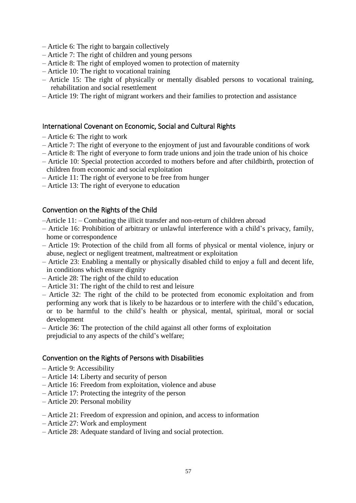- Article 6: The right to bargain collectively
- Article 7: The right of children and young persons
- Article 8: The right of employed women to protection of maternity
- Article 10: The right to vocational training
- Article 15: The right of physically or mentally disabled persons to vocational training, rehabilitation and social resettlement
- Article 19: The right of migrant workers and their families to protection and assistance

### <span id="page-56-0"></span>International Covenant on Economic, Social and Cultural Rights

- Article 6: The right to work
- Article 7: The right of everyone to the enjoyment of just and favourable conditions of work
- Article 8: The right of everyone to form trade unions and join the trade union of his choice
- Article 10: Special protection accorded to mothers before and after childbirth, protection of children from economic and social exploitation
- Article 11: The right of everyone to be free from hunger
- Article 13: The right of everyone to education

### <span id="page-56-1"></span>Convention on the Rights of the Child

- –Article 11: Combating the illicit transfer and non-return of children abroad
- Article 16: Prohibition of arbitrary or unlawful interference with a child's privacy, family, home or correspondence
- Article 19: Protection of the child from all forms of physical or mental violence, injury or abuse, neglect or negligent treatment, maltreatment or exploitation
- Article 23: Enabling a mentally or physically disabled child to enjoy a full and decent life, in conditions which ensure dignity
- Article 28: The right of the child to education
- Article 31: The right of the child to rest and leisure
- Article 32: The right of the child to be protected from economic exploitation and from performing any work that is likely to be hazardous or to interfere with the child's education, or to be harmful to the child's health or physical, mental, spiritual, moral or social development
- Article 36: The protection of the child against all other forms of exploitation prejudicial to any aspects of the child's welfare;

### <span id="page-56-2"></span>Convention on the Rights of Persons with Disabilities

- Article 9: Accessibility
- Article 14: Liberty and security of person
- Article 16: Freedom from exploitation, violence and abuse
- Article 17: Protecting the integrity of the person
- Article 20: Personal mobility
- Article 21: Freedom of expression and opinion, and access to information
- Article 27: Work and employment
- Article 28: Adequate standard of living and social protection.